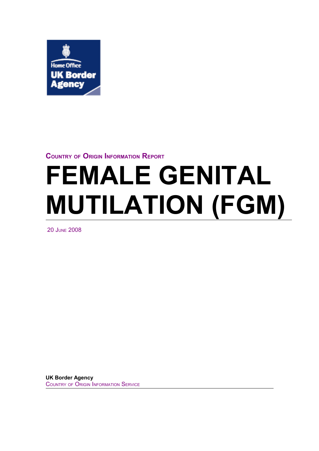

# **COUNTRY OF ORIGIN INFORMATION REPORT**

# **FEMALE GENITAL MUTILATION (FGM)**

**20 JUNE 2008** 

**UK Border Agency COUNTRY OF ORIGIN INFORMATION SERVICE**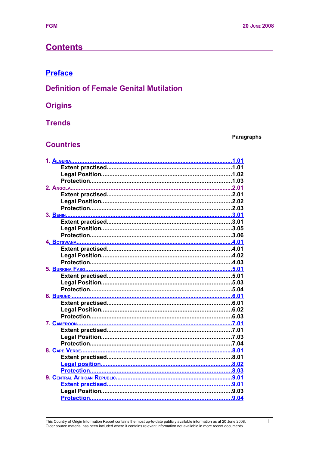# **Contents**

# **Preface**

# **Definition of Female Genital Mutilation**

# **Origins**

# **Trends**

#### <span id="page-2-0"></span>Paragraphs

# **Countries**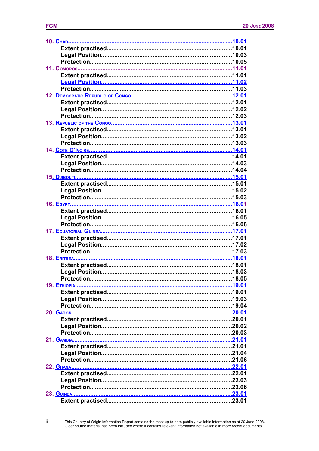| <b>FGM</b> |  |
|------------|--|
|            |  |
|            |  |

<span id="page-3-1"></span><span id="page-3-0"></span> $\overline{\mathbf{ii}}$ 

<span id="page-3-9"></span><span id="page-3-8"></span><span id="page-3-7"></span><span id="page-3-6"></span><span id="page-3-5"></span><span id="page-3-4"></span><span id="page-3-3"></span><span id="page-3-2"></span>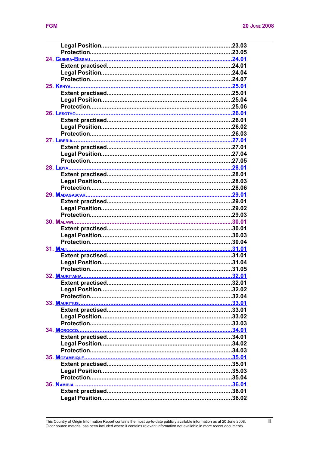<span id="page-4-4"></span><span id="page-4-3"></span><span id="page-4-2"></span><span id="page-4-1"></span><span id="page-4-0"></span>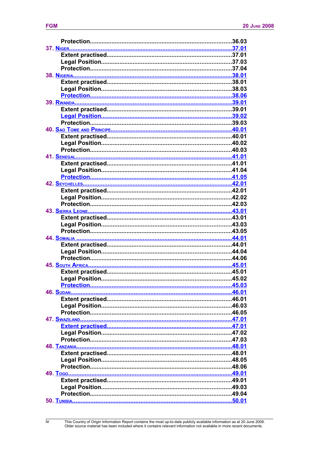<span id="page-5-27"></span><span id="page-5-26"></span><span id="page-5-25"></span><span id="page-5-24"></span><span id="page-5-23"></span><span id="page-5-22"></span><span id="page-5-21"></span><span id="page-5-20"></span><span id="page-5-19"></span><span id="page-5-18"></span><span id="page-5-17"></span><span id="page-5-16"></span><span id="page-5-15"></span><span id="page-5-14"></span><span id="page-5-13"></span><span id="page-5-12"></span><span id="page-5-11"></span><span id="page-5-10"></span><span id="page-5-9"></span><span id="page-5-8"></span><span id="page-5-7"></span><span id="page-5-6"></span><span id="page-5-5"></span><span id="page-5-4"></span><span id="page-5-3"></span><span id="page-5-2"></span><span id="page-5-1"></span><span id="page-5-0"></span>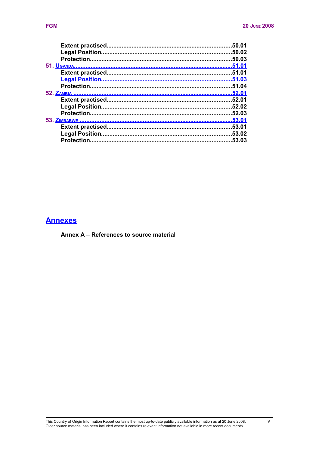<span id="page-6-15"></span><span id="page-6-14"></span><span id="page-6-13"></span><span id="page-6-12"></span><span id="page-6-11"></span><span id="page-6-10"></span><span id="page-6-9"></span><span id="page-6-8"></span><span id="page-6-7"></span><span id="page-6-6"></span><span id="page-6-5"></span><span id="page-6-4"></span><span id="page-6-3"></span>

|             | 50.01  |
|-------------|--------|
|             |        |
|             |        |
|             |        |
|             |        |
|             |        |
|             | .51.04 |
|             |        |
|             |        |
|             |        |
|             | .52.03 |
|             |        |
|             |        |
|             |        |
| Protection. | 53.03  |

# <span id="page-6-2"></span><span id="page-6-1"></span>**Annexes**

<span id="page-6-0"></span>Annex A - References to source material

This Country of Origin Information Report contains the most up-to-date publicly available information as at 20 June 2008.<br>Older source material has been included where it contains relevant information not available in more

 $\mathsf{v}$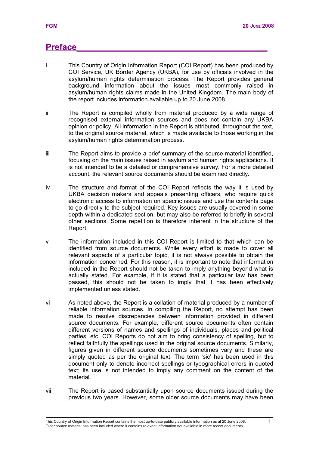# <span id="page-8-0"></span>**Preface\_\_\_\_\_\_\_\_\_\_\_\_\_\_\_\_\_\_\_\_\_\_\_\_\_\_\_\_\_\_\_\_\_\_\_\_\_\_\_\_**

- i This Country of Origin Information Report (COI Report) has been produced by COI Service, UK Border Agency (UKBA), for use by officials involved in the asylum/human rights determination process. The Report provides general background information about the issues most commonly raised in asylum/human rights claims made in the United Kingdom. The main body of the report includes information available up to 20 June 2008.
- ii The Report is compiled wholly from material produced by a wide range of recognised external information sources and does not contain any UKBA opinion or policy. All information in the Report is attributed, throughout the text, to the original source material, which is made available to those working in the asylum/human rights determination process.
- iii The Report aims to provide a brief summary of the source material identified, focusing on the main issues raised in asylum and human rights applications. It is not intended to be a detailed or comprehensive survey. For a more detailed account, the relevant source documents should be examined directly.
- iv The structure and format of the COI Report reflects the way it is used by UKBA decision makers and appeals presenting officers, who require quick electronic access to information on specific issues and use the contents page to go directly to the subject required. Key issues are usually covered in some depth within a dedicated section, but may also be referred to briefly in several other sections. Some repetition is therefore inherent in the structure of the Report.
- v The information included in this COI Report is limited to that which can be identified from source documents. While every effort is made to cover all relevant aspects of a particular topic, it is not always possible to obtain the information concerned. For this reason, it is important to note that information included in the Report should not be taken to imply anything beyond what is actually stated. For example, if it is stated that a particular law has been passed, this should not be taken to imply that it has been effectively implemented unless stated.
- vi As noted above, the Report is a collation of material produced by a number of reliable information sources. In compiling the Report, no attempt has been made to resolve discrepancies between information provided in different source documents. For example, different source documents often contain different versions of names and spellings of individuals, places and political parties, etc. COI Reports do not aim to bring consistency of spelling, but to reflect faithfully the spellings used in the original source documents. Similarly, figures given in different source documents sometimes vary and these are simply quoted as per the original text. The term 'sic' has been used in this document only to denote incorrect spellings or typographical errors in quoted text; its use is not intended to imply any comment on the content of the material.
- vii The Report is based substantially upon source documents issued during the previous two years. However, some older source documents may have been

This Country of Origin Information Report contains the most up-to-date publicly available information as at 20 June 2008. Older source material has been included where it contains relevant information not available in more recent documents.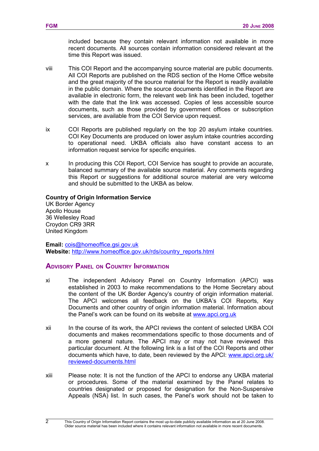included because they contain relevant information not available in more recent documents. All sources contain information considered relevant at the time this Report was issued.

- viii This COI Report and the accompanying source material are public documents. All COI Reports are published on the RDS section of the Home Office website and the great majority of the source material for the Report is readily available in the public domain. Where the source documents identified in the Report are available in electronic form, the relevant web link has been included, together with the date that the link was accessed. Copies of less accessible source documents, such as those provided by government offices or subscription services, are available from the COI Service upon request.
- ix COI Reports are published regularly on the top 20 asylum intake countries. COI Key Documents are produced on lower asylum intake countries according to operational need. UKBA officials also have constant access to an information request service for specific enquiries.
- x In producing this COI Report, COI Service has sought to provide an accurate, balanced summary of the available source material. Any comments regarding this Report or suggestions for additional source material are very welcome and should be submitted to the UKBA as below.

#### **Country of Origin Information Service**

UK Border Agency Apollo House 36 Wellesley Road Croydon CR9 3RR United Kingdom

**Email:** [cois@homeoffice.gsi.gov.uk](mailto:cois@homeoffice.gsi.gov.uk) **Website:** [http://www.homeoffice.gov.uk/rds/country\\_reports.html](http://www.homeoffice.gov.uk/rds/country_reports.html)

## **ADVISORY PANEL ON COUNTRY INFORMATION**

- xi The independent Advisory Panel on Country Information (APCI) was established in 2003 to make recommendations to the Home Secretary about the content of the UK Border Agency's country of origin information material. The APCI welcomes all feedback on the UKBA's COI Reports, Key Documents and other country of origin information material. Information about the Panel's work can be found on its website at [www.apci.org.uk](http://www.apci.org.uk/)
- xii In the course of its work, the APCI reviews the content of selected UKBA COI documents and makes recommendations specific to those documents and of a more general nature. The APCI may or may not have reviewed this particular document. At the following link is a list of the COI Reports and other documents which have, to date, been reviewed by the APCI: [www.apci.org.uk/](http://www.apci.org.uk/reviewed-documents.html) [reviewed-documents.html](http://www.apci.org.uk/reviewed-documents.html)
- xiii Please note: It is not the function of the APCI to endorse any UKBA material or procedures. Some of the material examined by the Panel relates to countries designated or proposed for designation for the Non-Suspensive Appeals (NSA) list. In such cases, the Panel's work should not be taken to

 $\overline{2}$ 

This Country of Origin Information Report contains the most up-to-date publicly available information as at 20 June 2008. Older source material has been included where it contains relevant information not available in more recent documents.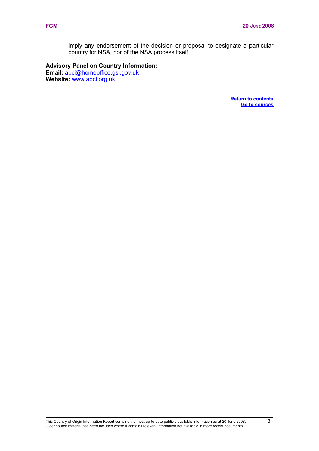<span id="page-10-1"></span><span id="page-10-0"></span>imply any endorsement of the decision or proposal to designate a particular country for NSA, nor of the NSA process itself.

# **Advisory Panel on Country Information: Email:** [apci@homeoffice.gsi.gov.uk](mailto:apci@homeoffice.gsi.gov.uk)

**Website:** [www.apci.org.uk](http://www.apci.org.uk/)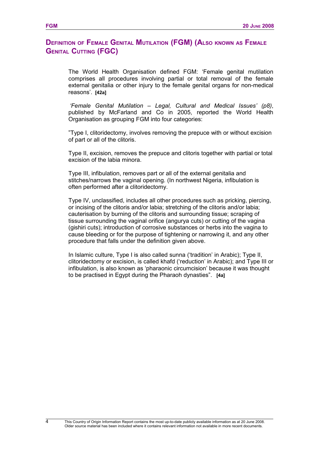# <span id="page-11-0"></span>**DEFINITION OF FEMALE GENITAL MUTILATION (FGM) (ALSO KNOWN AS FEMALE GENITAL CUTTING (FGC)**

The World Health Organisation defined FGM: 'Female genital mutilation comprises all procedures involving partial or total removal of the female external genitalia or other injury to the female genital organs for non-medical reasons'. **[42a]** 

*'Female Genital Mutilation – Legal, Cultural and Medical Issues' (p8)*, published by McFarland and Co in 2005, reported the World Health Organisation as grouping FGM into four categories:

"Type I, clitoridectomy, involves removing the prepuce with or without excision of part or all of the clitoris.

Type II, excision, removes the prepuce and clitoris together with partial or total excision of the labia minora.

Type III, infibulation, removes part or all of the external genitalia and stitches/narrows the vaginal opening. (In northwest Nigeria, infibulation is often performed after a clitoridectomy.

Type IV, unclassified, includes all other procedures such as pricking, piercing, or incising of the clitoris and/or labia; stretching of the clitoris and/or labia; cauterisation by burning of the clitoris and surrounding tissue; scraping of tissue surrounding the vaginal orifice (angurya cuts) or cutting of the vagina (gishiri cuts); introduction of corrosive substances or herbs into the vagina to cause bleeding or for the purpose of tightening or narrowing it, and any other procedure that falls under the definition given above.

In Islamic culture, Type I is also called sunna ('tradition' in Arabic); Type II, clitoridectomy or excision, is called khafd ('reduction' in Arabic); and Type III or infibulation, is also known as 'pharaonic circumcision' because it was thought to be practised in Egypt during the Pharaoh dynasties". **[4a]**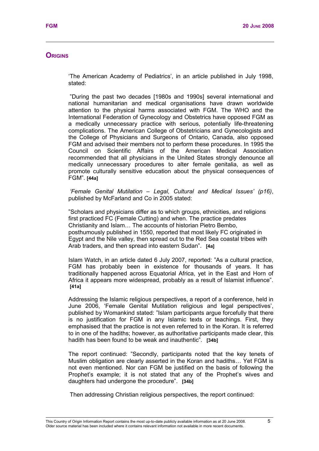# <span id="page-12-0"></span>**ORIGINS**

'The American Academy of Pediatrics', in an article published in July 1998, stated:

"During the past two decades [1980s and 1990s] several international and national humanitarian and medical organisations have drawn worldwide attention to the physical harms associated with FGM. The WHO and the International Federation of Gynecology and Obstetrics have opposed FGM as a medically unnecessary practice with serious, potentially life-threatening complications. The American College of Obstetricians and Gynecologists and the College of Physicians and Surgeons of Ontario, Canada, also opposed FGM and advised their members not to perform these procedures. In 1995 the Council on Scientific Affairs of the American Medical Association recommended that all physicians in the United States strongly denounce all medically unnecessary procedures to alter female genitalia, as well as promote culturally sensitive education about the physical consequences of FGM". **[44a]**

*'Female Genital Mutilation – Legal, Cultural and Medical Issues' (p16)*, published by McFarland and Co in 2005 stated:

"Scholars and physicians differ as to which groups, ethnicities, and religions first practiced FC (Female Cutting) and when. The practice predates Christianity and Islam… The accounts of historian Pietro Bembo, posthumously published in 1550, reported that most likely FC originated in Egypt and the Nile valley, then spread out to the Red Sea coastal tribes with Arab traders, and then spread into eastern Sudan". **[4a]** 

Islam Watch, in an article dated 6 July 2007, reported: "As a cultural practice, FGM has probably been in existence for thousands of years. It has traditionally happened across Equatorial Africa, yet in the East and Horn of Africa it appears more widespread, probably as a result of Islamist influence". **[41a]** 

Addressing the Islamic religious perspectives, a report of a conference, held in June 2006, 'Female Genital Mutilation religious and legal perspectives', published by Womankind stated: "Islam participants argue forcefully that there is no justification for FGM in any Islamic texts or teachings. First, they emphasised that the practice is not even referred to in the Koran. It is referred to in one of the hadiths; however, as authoritative participants made clear, this hadith has been found to be weak and inauthentic". **[34b]** 

The report continued: "Secondly, participants noted that the key tenets of Muslim obligation are clearly asserted in the Koran and hadiths… Yet FGM is not even mentioned. Nor can FGM be justified on the basis of following the Prophet's example; it is not stated that any of the Prophet's wives and daughters had undergone the procedure". **[34b]** 

Then addressing Christian religious perspectives, the report continued: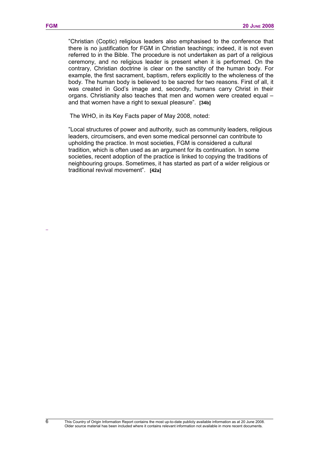body. The human body is believed to be sacred for two reasons. First of all, it was created in God's image and, secondly, humans carry Christ in their organs. Christianity also teaches that men and women were created equal – and that women have a right to sexual pleasure". **[34b]** 

The WHO, in its Key Facts paper of May 2008, noted:

"Local structures of power and authority, such as community leaders, religious leaders, circumcisers, and even some medical personnel can contribute to upholding the practice. In most societies, FGM is considered a cultural tradition, which is often used as an argument for its continuation. In some societies, recent adoption of the practice is linked to copying the traditions of neighbouring groups. Sometimes, it has started as part of a wider religious or traditional revival movement". **[42a]** 

6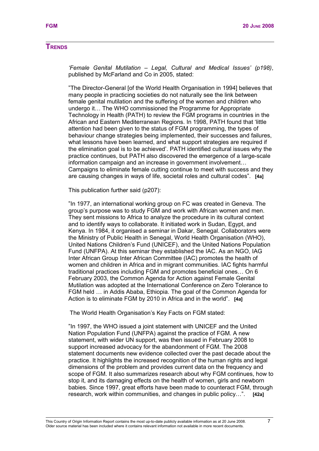#### <span id="page-14-0"></span>**TRENDS**

*'Female Genital Mutilation – Legal, Cultural and Medical Issues' (p198)*, published by McFarland and Co in 2005, stated:

"The Director-General [of the World Health Organisation in 1994] believes that many people in practicing societies do not naturally see the link between female genital mutilation and the suffering of the women and children who undergo it… The WHO commissioned the Programme for Appropriate Technology in Health (PATH) to review the FGM programs in countries in the African and Eastern Mediterranean Regions. In 1998, PATH found that 'little attention had been given to the status of FGM programming, the types of behaviour change strategies being implemented, their successes and failures, what lessons have been learned, and what support strategies are required if the elimination goal is to be achieved'. PATH identified cultural issues why the practice continues, but PATH also discovered the emergence of a large-scale information campaign and an increase in government involvement… Campaigns to eliminate female cutting continue to meet with success and they are causing changes in ways of life, societal roles and cultural codes". **[4a]** 

This publication further said (p207):

"In 1977, an international working group on FC was created in Geneva. The group's purpose was to study FGM and work with African women and men. They sent missions to Africa to analyze the procedure in its cultural context and to identify ways to collaborate. It initiated work in Sudan, Egypt, and Kenya. In 1984, it organised a seminar in Dakar, Senegal. Collaborators were the Ministry of Public Health in Senegal, World Health Organisation (WHO), United Nations Children's Fund (UNICEF), and the United Nations Population Fund (UNFPA). At this seminar they established the IAC. As an NGO, IAG Inter African Group Inter African Committee (IAC) promotes the health of women and children in Africa and in migrant communities. IAC fights harmful traditional practices including FGM and promotes beneficial ones… On 6 February 2003, the Common Agenda for Action against Female Genital Mutilation was adopted at the International Conference on Zero Tolerance to FGM held … in Addis Ababa, Ethiopia. The goal of the Common Agenda for Action is to eliminate FGM by 2010 in Africa and in the world". **[4a]** 

The World Health Organisation's Key Facts on FGM stated:

"In 1997, the WHO issued a joint statement with UNICEF and the United Nation Population Fund (UNFPA) against the practice of FGM. A new statement, with wider UN support, was then issued in February 2008 to support increased advocacy for the abandonment of FGM. The 2008 statement documents new evidence collected over the past decade about the practice. It highlights the increased recognition of the human rights and legal dimensions of the problem and provides current data on the frequency and scope of FGM. It also summarizes research about why FGM continues, how to stop it, and its damaging effects on the health of women, girls and newborn babies. Since 1997, great efforts have been made to counteract FGM, through research, work within communities, and changes in public policy…". **[42a]**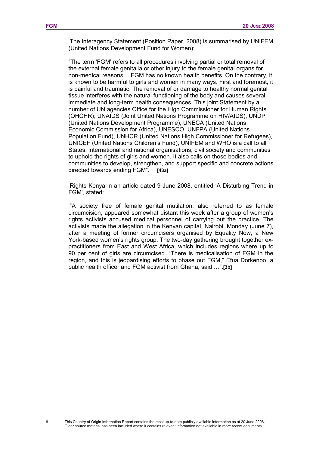The Interagency Statement (Position Paper, 2008) is summarised by UNIFEM (United Nations Development Fund for Women):

"The term 'FGM' refers to all procedures involving partial or total removal of the external female genitalia or other injury to the female genital organs for non-medical reasons… FGM has no known health benefits. On the contrary, it is known to be harmful to girls and women in many ways. First and foremost, it is painful and traumatic. The removal of or damage to healthy normal genital tissue interferes with the natural functioning of the body and causes several immediate and long-term health consequences. This joint Statement by a number of UN agencies Office for the High Commissioner for Human Rights (OHCHR), UNAIDS (Joint United Nations Programme on HIV/AIDS), UNDP (United Nations Development Programme), UNECA (United Nations Economic Commission for Africa), UNESCO, UNFPA (United Nations Population Fund), UNHCR (United Nations High Commissioner for Refugees), UNICEF (United Nations Children's Fund), UNIFEM and WHO is a call to all States, international and national organisations, civil society and communities to uphold the rights of girls and women. It also calls on those bodies and communities to develop, strengthen, and support specific and concrete actions directed towards ending FGM". **[43a]** 

Rights Kenya in an article dated 9 June 2008, entitled 'A Disturbing Trend in FGM', stated:

"A society free of female genital mutilation, also referred to as female circumcision, appeared somewhat distant this week after a group of women's rights activists accused medical personnel of carrying out the practice. The activists made the allegation in the Kenyan capital, Nairobi, Monday (June 7), after a meeting of former circumcisers organised by Equality Now, a New York-based women's rights group. The two-day gathering brought together expractitioners from East and West Africa, which includes regions where up to 90 per cent of girls are circumcised. "There is medicalisation of FGM in the region, and this is jeopardising efforts to phase out FGM," Efua Dorkenoo, a public health officer and FGM activist from Ghana, said …".**[3b]**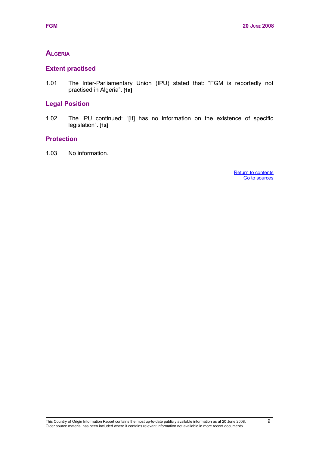# <span id="page-16-3"></span>**ALGERIA**

## <span id="page-16-2"></span>**Extent practised**

1.01 The Inter-Parliamentary Union (IPU) stated that: "FGM is reportedly not practised in Algeria". **[1a]**

# <span id="page-16-1"></span>**Legal Position**

1.02 The IPU continued: "[It] has no information on the existence of specific legislation". **[1a]**

## <span id="page-16-0"></span>**Protection**

<span id="page-16-5"></span><span id="page-16-4"></span>1.03 No information.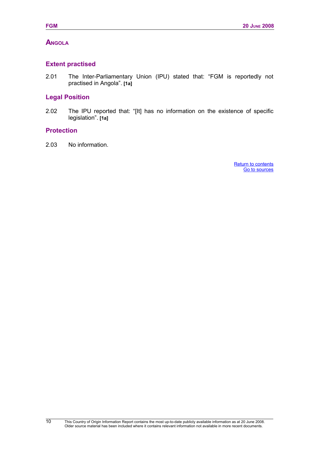# <span id="page-17-3"></span>**ANGOLA**

# <span id="page-17-2"></span>**Extent practised**

2.01 The Inter-Parliamentary Union (IPU) stated that: "FGM is reportedly not practised in Angola". **[1a]**

# <span id="page-17-1"></span>**Legal Position**

2.02 The IPU reported that: "[It] has no information on the existence of specific legislation". **[1a]**

#### <span id="page-17-0"></span>**Protection**

10

<span id="page-17-5"></span><span id="page-17-4"></span>2.03 No information.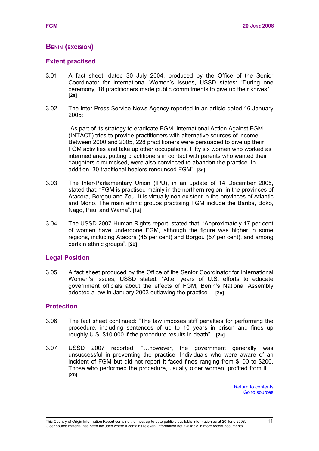# **BENIN (EXCISION)**

## <span id="page-18-2"></span>**Extent practised**

- 3.01 A fact sheet, dated 30 July 2004, produced by the Office of the Senior Coordinator for International Women's Issues, USSD states: "During one ceremony, 18 practitioners made public commitments to give up their knives". **[2a]**
- 3.02 The Inter Press Service News Agency reported in an article dated 16 January 2005:

"As part of its strategy to eradicate FGM, International Action Against FGM (INTACT) tries to provide practitioners with alternative sources of income. Between 2000 and 2005, 228 practitioners were persuaded to give up their FGM activities and take up other occupations. Fifty six women who worked as intermediaries, putting practitioners in contact with parents who wanted their daughters circumcised, were also convinced to abandon the practice. In addition, 30 traditional healers renounced FGM". **[3a]**

- 3.03 The Inter-Parliamentary Union (IPU), in an update of 14 December 2005, stated that: "FGM is practised mainly in the northern region, in the provinces of Atacora, Borgou and Zou. It is virtually non existent in the provinces of Atlantic and Mono. The main ethnic groups practising FGM include the Bariba, Boko, Nago, Peul and Wama". **[1a]**
- 3.04 The USSD 2007 Human Rights report, stated that: "Approximately 17 per cent of women have undergone FGM, although the figure was higher in some regions, including Atacora (45 per cent) and Borgou (57 per cent), and among certain ethnic groups". **[2b]**

#### <span id="page-18-1"></span>**Legal Position**

3.05 A fact sheet produced by the Office of the Senior Coordinator for International Women's Issues, USSD stated: "After years of U.S. efforts to educate government officials about the effects of FGM, Benin's National Assembly adopted a law in January 2003 outlawing the practice". **[2a]**

#### <span id="page-18-0"></span>**Protection**

- 3.06 The fact sheet continued: "The law imposes stiff penalties for performing the procedure, including sentences of up to 10 years in prison and fines up roughly U.S. \$10,000 if the procedure results in death". **[2a]**
- <span id="page-18-4"></span><span id="page-18-3"></span>3.07 USSD 2007 reported: "…however, the government generally was unsuccessful in preventing the practice. Individuals who were aware of an incident of FGM but did not report it faced fines ranging from \$100 to \$200. Those who performed the procedure, usually older women, profited from it". **[2b]**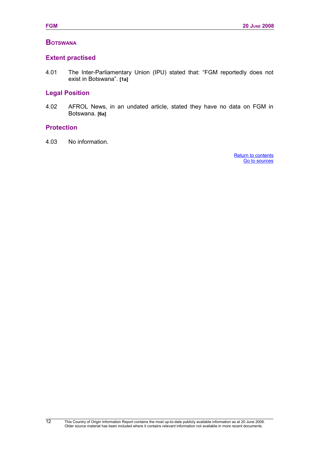## <span id="page-19-3"></span>**BOTSWANA**

## <span id="page-19-2"></span>**Extent practised**

4.01 The Inter-Parliamentary Union (IPU) stated that: "FGM reportedly does not exist in Botswana". **[1a]**

# <span id="page-19-1"></span>**Legal Position**

4.02 AFROL News, in an undated article, stated they have no data on FGM in Botswana. **[6a]**

## <span id="page-19-0"></span>**Protection**

12

<span id="page-19-5"></span><span id="page-19-4"></span>4.03 No information.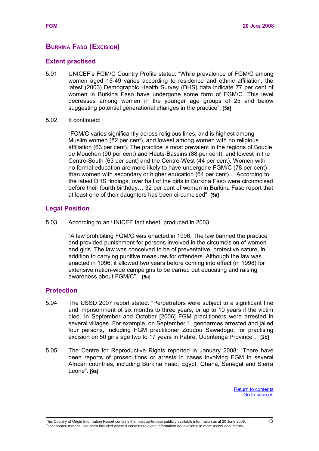# <span id="page-20-3"></span>**BURKINA FASO (EXCISION)**

## <span id="page-20-2"></span>**Extent practised**

- 5.01 UNICEF's FGM/C Country Profile stated: "While prevalence of FGM/C among women aged 15-49 varies according to residence and ethnic affiliation, the latest (2003) Demographic Health Survey (DHS) data indicate 77 per cent of women in Burkina Faso have undergone some form of FGM/C. This level decreases among women in the younger age groups of 25 and below suggesting potential generational changes in the practice". **[5a]**
- 5.02 It continued:

"FCM/C varies significantly across religious lines, and is highest among Muslim women (82 per cent), and lowest among women with no religious affiliation (63 per cent). The practice is most prevalent in the regions of Boucle de Mouchon (90 per cent) and Hauts-Bassins (88 per cent), and lowest in the Centre-South (63 per cent) and the Centre-West (44 per cent). Women with no formal education are more likely to have undergone FGM/C (78 per cent) than women with secondary or higher education (64 per cent)… According to the latest DHS findings, over half of the girls in Burkina Faso were circumcised before their fourth birthday… 32 per cent of women in Burkina Faso report that at least one of their daughters has been circumcised". **[5a]** 

## <span id="page-20-1"></span>**Legal Position**

5.03 According to an UNICEF fact sheet, produced in 2003:

"A law prohibiting FGM/C was enacted in 1996. The law banned the practice and provided punishment for persons involved in the circumcision of women and girls. The law was conceived to be of preventative, protective nature, in addition to carrying punitive measures for offenders. Although the law was enacted in 1996, it allowed two years before coming into effect (in 1998) for extensive nation-wide campaigns to be carried out educating and raising awareness about FGM/C". **[5a]** 

# <span id="page-20-0"></span>**Protection**

- 5.04 The USSD 2007 report stated: "Perpetrators were subject to a significant fine and imprisonment of six months to three years, or up to 10 years if the victim died. In September and October [2006] FGM practitioners were arrested in several villages. For example, on September 1, gendarmes arrested and jailed four persons, including FGM practitioner Zoudou Sawadogo, for practising excision on 50 girls age two to 17 years in Pabre, Oubritenga Province". **[2b]**
- <span id="page-20-5"></span><span id="page-20-4"></span>5.05 The Centre for Reproductive Rights reported in January 2008: "There have been reports of prosecutions or arrests in cases involving FGM in several African countries, including Burkina Faso, Egypt, Ghana, Senegal and Sierra Leone". **[9a]**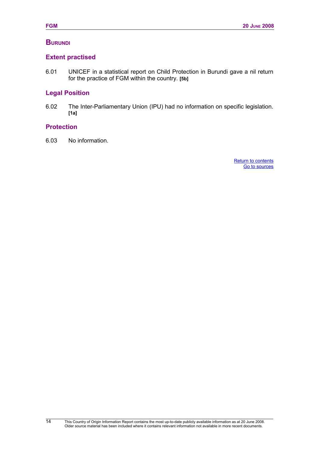## <span id="page-21-3"></span>**BURUNDI**

# <span id="page-21-2"></span>**Extent practised**

6.01 UNICEF in a statistical report on Child Protection in Burundi gave a nil return for the practice of FGM within the country. **[5b]**

# <span id="page-21-1"></span>**Legal Position**

6.02 The Inter-Parliamentary Union (IPU) had no information on specific legislation. **[1a]**

## <span id="page-21-0"></span>**Protection**

<span id="page-21-5"></span><span id="page-21-4"></span>6.03 No information.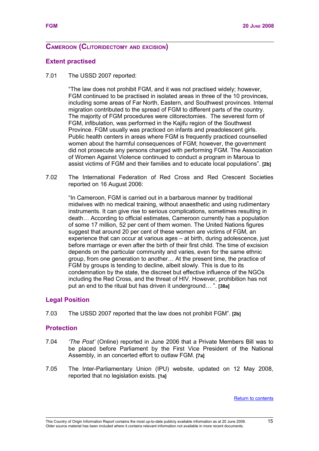#### <span id="page-22-3"></span>**CAMEROON (CLITORIDECTOMY AND EXCISION)**

#### <span id="page-22-2"></span>**Extent practised**

7.01 The USSD 2007 reported:

"The law does not prohibit FGM, and it was not practised widely; however, FGM continued to be practised in isolated areas in three of the 10 provinces, including some areas of Far North, Eastern, and Southwest provinces. Internal migration contributed to the spread of FGM to different parts of the country. The majority of FGM procedures were clitorectomies. The severest form of FGM, infibulation, was performed in the Kajifu region of the Southwest Province. FGM usually was practiced on infants and preadolescent girls. Public health centers in areas where FGM is frequently practiced counselled women about the harmful consequences of FGM; however, the government did not prosecute any persons charged with performing FGM. The Association of Women Against Violence continued to conduct a program in Maroua to assist victims of FGM and their families and to educate local populations". **[2b]**

7.02 The International Federation of Red Cross and Red Crescent Societies reported on 16 August 2006:

"In Cameroon, FGM is carried out in a barbarous manner by traditional midwives with no medical training, without anaesthetic and using rudimentary instruments. It can give rise to serious complications, sometimes resulting in death… According to official estimates, Cameroon currently has a population of some 17 million, 52 per cent of them women. The United Nations figures suggest that around 20 per cent of these women are victims of FGM, an experience that can occur at various ages – at birth, during adolescence, just before marriage or even after the birth of their first child. The time of excision depends on the particular community and varies, even for the same ethnic group, from one generation to another… At the present time, the practice of FGM by groups is tending to decline, albeit slowly. This is due to its condemnation by the state, the discreet but effective influence of the NGOs including the Red Cross, and the threat of HIV. However, prohibition has not put an end to the ritual but has driven it underground… ". **[38a]**

#### <span id="page-22-1"></span>**Legal Position**

7.03 The USSD 2007 reported that the law does not prohibit FGM". **[2b]**

#### <span id="page-22-0"></span>**Protection**

- 7.04 *'The Post'* (Online) reported in June 2006 that a Private Members Bill was to be placed before Parliament by the First Vice President of the National Assembly, in an concerted effort to outlaw FGM. **[7a]**
- 7.05 The Inter-Parliamentary Union (IPU) website, updated on 12 May 2008, reported that no legislation exists. **[1a]**

<span id="page-22-4"></span>[Return to contents](#page-22-4)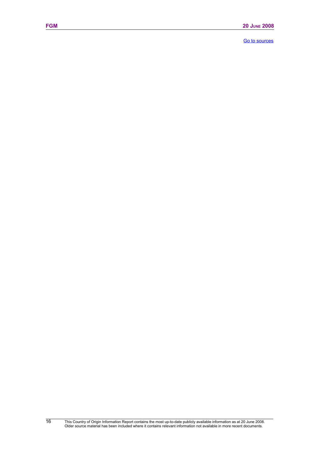<span id="page-23-0"></span>[Go to sources](#page-23-0)

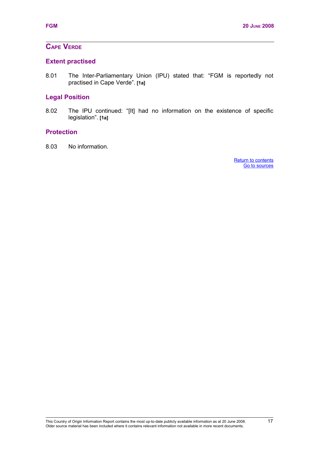# <span id="page-24-3"></span>**CAPE VERDE**

# <span id="page-24-2"></span>**Extent practised**

8.01 The Inter-Parliamentary Union (IPU) stated that: "FGM is reportedly not practised in Cape Verde". **[1a]**

## <span id="page-24-1"></span>**Legal Position**

8.02 The IPU continued: "[It] had no information on the existence of specific legislation". **[1a]**

## <span id="page-24-0"></span>**Protection**

<span id="page-24-5"></span><span id="page-24-4"></span>8.03 No information.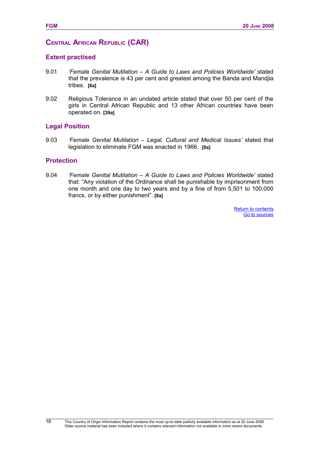# <span id="page-25-3"></span>**CENTRAL AFRICAN REPUBLIC (CAR)**

#### <span id="page-25-2"></span>**Extent practised**

- 9.01 *'Female Genital Mutilation A Guide to Laws and Policies Worldwide'* stated that the prevalence is 43 per cent and greatest among the Banda and Mandjia tribes. **[8a]**
- 9.02 Religious Tolerance in an undated article stated that over 50 per cent of the girls in Central African Republic and 13 other African countries have been operated on. **[39a]**

#### <span id="page-25-1"></span>**Legal Position**

9.03 *'Female Genital Mutilation – Legal, Cultural and Medical Issues'* stated that legislation to eliminate FGM was enacted in 1966. **[8a]**

#### <span id="page-25-0"></span>**Protection**

9.04 *'Female Genital Mutilation – A Guide to Laws and Policies Worldwide'* stated that: "Any violation of the Ordinance shall be punishable by imprisonment from one month and one day to two years and by a fine of from 5,501 to 100,000 francs, or by either punishment". **[8a]**

> <span id="page-25-5"></span><span id="page-25-4"></span>[Return to contents](#page-25-5) [Go to sources](#page-25-4)

18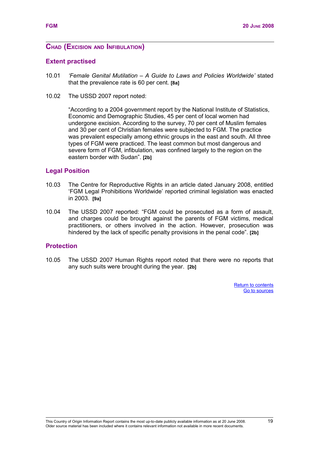## <span id="page-26-3"></span>**CHAD (EXCISION AND INFIBULATION)**

#### <span id="page-26-2"></span>**Extent practised**

- 10.01 *'Female Genital Mutilation A Guide to Laws and Policies Worldwide'* stated that the prevalence rate is 60 per cent. **[8a]**
- 10.02 The USSD 2007 report noted:

"According to a 2004 government report by the National Institute of Statistics, Economic and Demographic Studies, 45 per cent of local women had undergone excision. According to the survey, 70 per cent of Muslim females and 30 per cent of Christian females were subjected to FGM. The practice was prevalent especially among ethnic groups in the east and south. All three types of FGM were practiced. The least common but most dangerous and severe form of FGM, infibulation, was confined largely to the region on the eastern border with Sudan". **[2b]**

#### <span id="page-26-1"></span>**Legal Position**

- 10.03 The Centre for Reproductive Rights in an article dated January 2008, entitled 'FGM Legal Prohibitions Worldwide' reported criminal legislation was enacted in 2003. **[9a]**
- 10.04 The USSD 2007 reported: "FGM could be prosecuted as a form of assault, and charges could be brought against the parents of FGM victims, medical practitioners, or others involved in the action. However, prosecution was hindered by the lack of specific penalty provisions in the penal code". **[2b]**

#### <span id="page-26-0"></span>**Protection**

<span id="page-26-5"></span><span id="page-26-4"></span>10.05 The USSD 2007 Human Rights report noted that there were no reports that any such suits were brought during the year. **[2b]**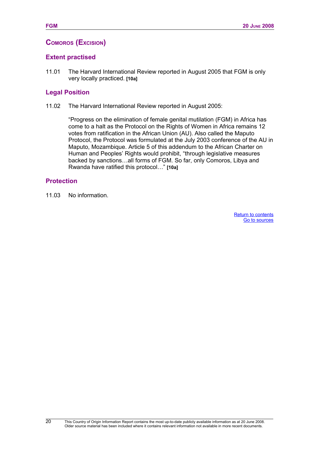# <span id="page-27-2"></span>**COMOROS (EXCISION)**

# **Extent practised**

11.01 The Harvard International Review reported in August 2005 that FGM is only very locally practiced. **[10a]**

## <span id="page-27-1"></span>**Legal Position**

11.02 The Harvard International Review reported in August 2005:

<span id="page-27-4"></span><span id="page-27-3"></span>"Progress on the elimination of female genital mutilation (FGM) in Africa has come to a halt as the Protocol on the Rights of Women in Africa remains 12 votes from ratification in the African Union (AU). Also called the Maputo Protocol, the Protocol was formulated at the July 2003 conference of the AU in Maputo, Mozambique. Article 5 of this addendum to the African Charter on Human and Peoples' Rights would prohibit, "through legislative measures backed by sanctions…all forms of FGM. So far, only Comoros, Libya and Rwanda have ratified this protocol…" **[10a]**

## <span id="page-27-0"></span>**Protection**

20

11.03 No information.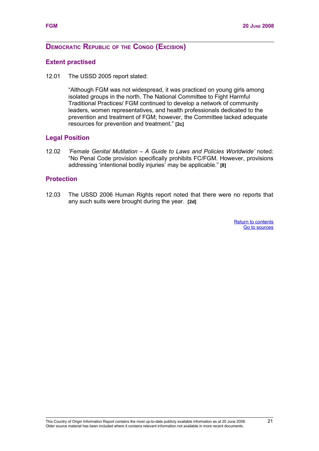## **DEMOCRATIC REPUBLIC OF THE CONGO (EXCISION)**

#### **Extent practised**

12.01 The USSD 2005 report stated:

"Although FGM was not widespread, it was practiced on young girls among isolated groups in the north. The National Committee to Fight Harmful Traditional Practices/ FGM continued to develop a network of community leaders, women representatives, and health professionals dedicated to the prevention and treatment of FGM; however, the Committee lacked adequate resources for prevention and treatment." **[2c]**

#### **Legal Position**

12.02 *'Female Genital Mutilation – A Guide to Laws and Policies Worldwide'* noted: "No Penal Code provision specifically prohibits FC/FGM. However, provisions addressing 'intentional bodily injuries' may be applicable." **[8]**

#### **Protection**

<span id="page-28-1"></span><span id="page-28-0"></span>12.03 The USSD 2006 Human Rights report noted that there were no reports that any such suits were brought during the year. **[2d]**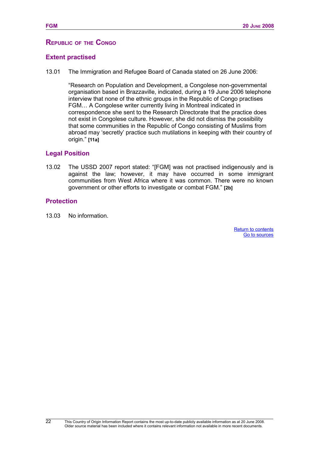#### **REPUBLIC OF THE CONGO**

#### **Extent practised**

13.01 The Immigration and Refugee Board of Canada stated on 26 June 2006:

"Research on Population and Development, a Congolese non-governmental organisation based in Brazzaville, indicated, during a 19 June 2006 telephone interview that none of the ethnic groups in the Republic of Congo practises FGM… A Congolese writer currently living in Montreal indicated in correspondence she sent to the Research Directorate that the practice does not exist in Congolese culture. However, she did not dismiss the possibility that some communities in the Republic of Congo consisting of Muslims from abroad may 'secretly' practice such mutilations in keeping with their country of origin." **[11a]**

#### **Legal Position**

13.02 The USSD 2007 report stated: "[FGM] was not practised indigenously and is against the law; however, it may have occurred in some immigrant communities from West Africa where it was common. There were no known government or other efforts to investigate or combat FGM." **[2b]**

#### **Protection**

<span id="page-29-1"></span><span id="page-29-0"></span>13.03 No information.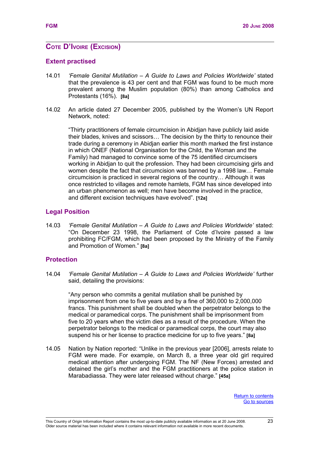# <span id="page-30-2"></span>**COTE D'IVOIRE (EXCISION)**

#### <span id="page-30-1"></span>**Extent practised**

- 14.01 *'Female Genital Mutilation A Guide to Laws and Policies Worldwide'* stated that the prevalence is 43 per cent and that FGM was found to be much more prevalent among the Muslim population (80%) than among Catholics and Protestants (16%). **[8a]**
- 14.02 An article dated 27 December 2005, published by the Women's UN Report Network, noted:

"Thirty practitioners of female circumcision in Abidjan have publicly laid aside their blades, knives and scissors… The decision by the thirty to renounce their trade during a ceremony in Abidjan earlier this month marked the first instance in which ONEF (National Organisation for the Child, the Woman and the Family) had managed to convince some of the 75 identified circumcisers working in Abidjan to quit the profession. They had been circumcising girls and women despite the fact that circumcision was banned by a 1998 law… Female circumcision is practiced in several regions of the country… Although it was once restricted to villages and remote hamlets, FGM has since developed into an urban phenomenon as well; men have become involved in the practice, and different excision techniques have evolved". **[12a]**

#### **Legal Position**

14.03 *'Female Genital Mutilation – A Guide to Laws and Policies Worldwide'* stated: "On December 23 1998, the Parliament of Cote d'Ivoire passed a law prohibiting FC/FGM, which had been proposed by the Ministry of the Family and Promotion of Women." **[8a]**

#### <span id="page-30-0"></span>**Protection**

14.04 *'Female Genital Mutilation – A Guide to Laws and Policies Worldwide'* further said, detailing the provisions:

<span id="page-30-4"></span><span id="page-30-3"></span>"Any person who commits a genital mutilation shall be punished by imprisonment from one to five years and by a fine of 360,000 to 2,000,000 francs. This punishment shall be doubled when the perpetrator belongs to the medical or paramedical corps. The punishment shall be imprisonment from five to 20 years when the victim dies as a result of the procedure. When the perpetrator belongs to the medical or paramedical corps, the court may also suspend his or her license to practice medicine for up to five years." **[8a]** 

14.05 Nation by Nation reported: "Unlike in the previous year [2006], arrests relate to FGM were made. For example, on March 8, a three year old girl required medical attention after undergoing FGM. The NF (New Forces) arrested and detained the girl's mother and the FGM practitioners at the police station in Marabadiassa. They were later released without charge." **[45a]**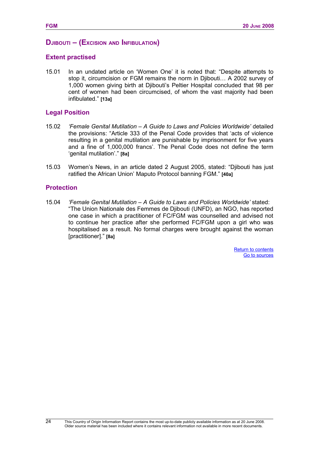#### <span id="page-31-0"></span>**DJIBOUTI – (EXCISION AND INFIBULATION)**

#### **Extent practised**

15.01 In an undated article on 'Women One' it is noted that: "Despite attempts to stop it, circumcision or FGM remains the norm in Djibouti… A 2002 survey of 1,000 women giving birth at Djibouti's Peltier Hospital concluded that 98 per cent of women had been circumcised, of whom the vast majority had been infibulated." **[13a]**

#### **Legal Position**

- 15.02 *'Female Genital Mutilation A Guide to Laws and Policies Worldwide'* detailed the provisions: "Article 333 of the Penal Code provides that 'acts of violence resulting in a genital mutilation are punishable by imprisonment for five years and a fine of 1,000,000 francs'. The Penal Code does not define the term 'genital mutilation'." **[8a]**
- 15.03 Women's News, in an article dated 2 August 2005, stated: "Djibouti has just ratified the African Union' Maputo Protocol banning FGM." **[40a]**

#### **Protection**

24

<span id="page-31-2"></span><span id="page-31-1"></span>15.04 *'Female Genital Mutilation – A Guide to Laws and Policies Worldwide'* stated: "The Union Nationale des Femmes de Djibouti (UNFD), an NGO, has reported one case in which a practitioner of FC/FGM was counselled and advised not to continue her practice after she performed FC/FGM upon a girl who was hospitalised as a result. No formal charges were brought against the woman [practitioner]." **[8a]**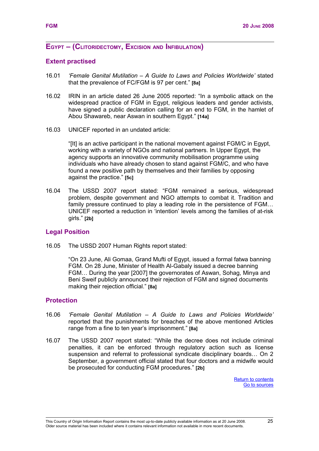#### <span id="page-32-3"></span>**EGYPT – (CLITORIDECTOMY, EXCISION AND INFIBULATION)**

#### <span id="page-32-2"></span>**Extent practised**

- 16.01 *'Female Genital Mutilation A Guide to Laws and Policies Worldwide'* stated that the prevalence of FC/FGM is 97 per cent." **[8a]**
- 16.02 IRIN in an article dated 26 June 2005 reported: "In a symbolic attack on the widespread practice of FGM in Egypt, religious leaders and gender activists, have signed a public declaration calling for an end to FGM, in the hamlet of Abou Shawareb, near Aswan in southern Egypt." **[14a]**
- 16.03 UNICEF reported in an undated article:

"[It] is an active participant in the national movement against FGM/C in Egypt, working with a variety of NGOs and national partners. In Upper Egypt, the agency supports an innovative community mobilisation programme using individuals who have already chosen to stand against FGM/C, and who have found a new positive path by themselves and their families by opposing against the practice." **[5c]**

16.04 The USSD 2007 report stated: "FGM remained a serious, widespread problem, despite government and NGO attempts to combat it. Tradition and family pressure continued to play a leading role in the persistence of FGM… UNICEF reported a reduction in 'intention' levels among the families of at-risk girls." **[2b]**

#### <span id="page-32-1"></span>**Legal Position**

<span id="page-32-0"></span>16.05 The USSD 2007 Human Rights report stated:

"On 23 June, Ali Gomaa, Grand Mufti of Egypt, issued a formal fatwa banning FGM. On 28 June, Minister of Health Al-Gabaly issued a decree banning FGM… During the year [2007] the governorates of Aswan, Sohag, Minya and Beni Sweif publicly announced their rejection of FGM and signed documents making their rejection official." **[8a]**

#### **Protection**

- 16.06 *'Female Genital Mutilation A Guide to Laws and Policies Worldwide'* reported that the punishments for breaches of the above mentioned Articles range from a fine to ten year's imprisonment." **[8a]**
- <span id="page-32-5"></span><span id="page-32-4"></span>16.07 The USSD 2007 report stated: "While the decree does not include criminal penalties, it can be enforced through regulatory action such as license suspension and referral to professional syndicate disciplinary boards… On 2 September, a government official stated that four doctors and a midwife would be prosecuted for conducting FGM procedures." **[2b]**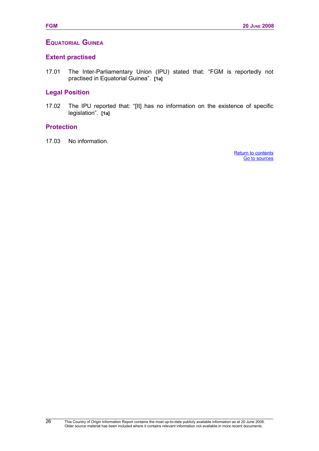# <span id="page-33-3"></span>**EQUATORIAL GUINEA**

## <span id="page-33-2"></span>**Extent practised**

17.01 The Inter-Parliamentary Union (IPU) stated that: "FGM is reportedly not practised in Equatorial Guinea". **[1a]**

# <span id="page-33-1"></span>**Legal Position**

17.02 The IPU reported that: "[It] has no information on the existence of specific legislation". **[1a]**

#### <span id="page-33-0"></span>**Protection**

<span id="page-33-5"></span><span id="page-33-4"></span>17.03 No information.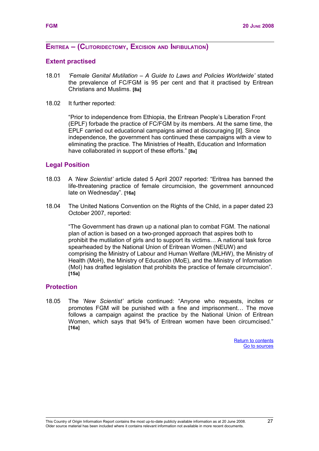## <span id="page-34-3"></span>**ERITREA – (CLITORIDECTOMY, EXCISION AND INFIBULATION)**

#### <span id="page-34-2"></span>**Extent practised**

- 18.01 *'Female Genital Mutilation A Guide to Laws and Policies Worldwide'* stated the prevalence of FC/FGM is 95 per cent and that it practised by Eritrean Christians and Muslims. **[8a]**
- 18.02 It further reported:

"Prior to independence from Ethiopia, the Eritrean People's Liberation Front (EPLF) forbade the practice of FC/FGM by its members. At the same time, the EPLF carried out educational campaigns aimed at discouraging [it]. Since independence, the government has continued these campaigns with a view to eliminating the practice. The Ministries of Health, Education and Information have collaborated in support of these efforts." **[8a]**

#### <span id="page-34-1"></span>**Legal Position**

- 18.03 A *'New Scientist'* article dated 5 April 2007 reported: "Eritrea has banned the life-threatening practice of female circumcision, the government announced late on Wednesday". **[16a]**
- 18.04 The United Nations Convention on the Rights of the Child, in a paper dated 23 October 2007, reported:

"The Government has drawn up a national plan to combat FGM. The national plan of action is based on a two-pronged approach that aspires both to prohibit the mutilation of girls and to support its victims… A national task force spearheaded by the National Union of Eritrean Women (NEUW) and comprising the Ministry of Labour and Human Welfare (MLHW), the Ministry of Health (MoH), the Ministry of Education (MoE), and the Ministry of Information (MoI) has drafted legislation that prohibits the practice of female circumcision". **[15a]**

#### <span id="page-34-0"></span>**Protection**

<span id="page-34-5"></span><span id="page-34-4"></span>18.05 The *'New Scientist'* article continued: "Anyone who requests, incites or promotes FGM will be punished with a fine and imprisonment… The move follows a campaign against the practice by the National Union of Eritrean Women, which says that 94% of Eritrean women have been circumcised." **[16a]**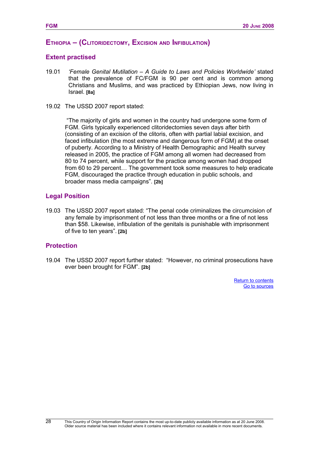## <span id="page-35-3"></span>**ETHIOPIA – (CLITORIDECTOMY, EXCISION AND INFIBULATION)**

#### <span id="page-35-2"></span>**Extent practised**

- 19.01 *'Female Genital Mutilation A Guide to Laws and Policies Worldwide'* stated that the prevalence of FC/FGM is 90 per cent and is common among Christians and Muslims, and was practiced by Ethiopian Jews, now living in Israel. **[8a]**
- 19.02 The USSD 2007 report stated:

 "The majority of girls and women in the country had undergone some form of FGM. Girls typically experienced clitoridectomies seven days after birth (consisting of an excision of the clitoris, often with partial labial excision, and faced infibulation (the most extreme and dangerous form of FGM) at the onset of puberty. According to a Ministry of Health Demographic and Health survey released in 2005, the practice of FGM among all women had decreased from 80 to 74 percent, while support for the practice among women had dropped from 60 to 29 percent… The government took some measures to help eradicate FGM, discouraged the practice through education in public schools, and broader mass media campaigns". **[2b]**

#### <span id="page-35-1"></span>**Legal Position**

19.03 The USSD 2007 report stated: "The penal code criminalizes the circumcision of any female by imprisonment of not less than three months or a fine of not less than \$58. Likewise, infibulation of the genitals is punishable with imprisonment of five to ten years". **[2b]**

#### <span id="page-35-0"></span>**Protection**

19.04 The USSD 2007 report further stated: "However, no criminal prosecutions have ever been brought for FGM". **[2b]**

> <span id="page-35-5"></span><span id="page-35-4"></span>[Return to contents](#page-35-5) [Go to sources](#page-35-4)

28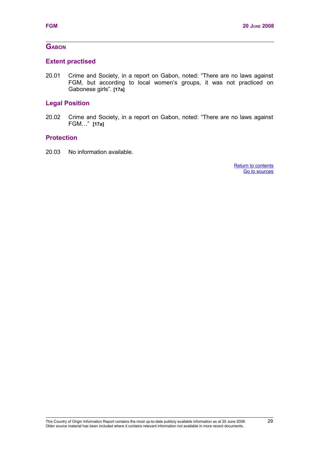# **GABON**

# **Extent practised**

20.01 Crime and Society, in a report on Gabon, noted: "There are no laws against FGM, but according to local women's groups, it was not practiced on Gabonese girls". **[17a]**

# **Legal Position**

20.02 Crime and Society, in a report on Gabon, noted: "There are no laws against FGM…" **[17a]**

# **Protection**

<span id="page-36-1"></span><span id="page-36-0"></span>20.03 No information available.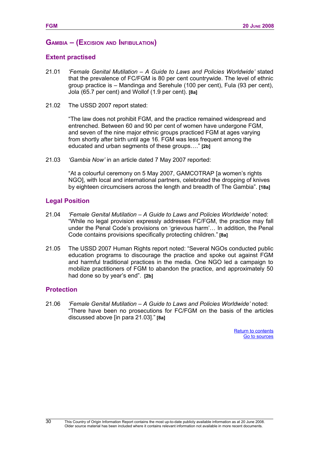### **GAMBIA – (EXCISION AND INFIBULATION)**

#### **Extent practised**

- 21.01 *'Female Genital Mutilation A Guide to Laws and Policies Worldwide'* stated that the prevalence of FC/FGM is 80 per cent countrywide. The level of ethnic group practice is – Mandinga and Serehule (100 per cent), Fula (93 per cent), Jola (65.7 per cent) and Wollof (1.9 per cent). **[8a]**
- 21.02 The USSD 2007 report stated:

"The law does not prohibit FGM, and the practice remained widespread and entrenched. Between 60 and 90 per cent of women have undergone FGM, and seven of the nine major ethnic groups practiced FGM at ages varying from shortly after birth until age 16. FGM was less frequent among the educated and urban segments of these groups…." **[2b]**

21.03 *'Gambia Now'* in an article dated 7 May 2007 reported:

"At a colourful ceremony on 5 May 2007, GAMCOTRAP [a women's rights NGO], with local and international partners, celebrated the dropping of knives by eighteen circumcisers across the length and breadth of The Gambia". **[18a]**

#### **Legal Position**

- 21.04 *'Female Genital Mutilation A Guide to Laws and Policies Worldwide'* noted: "While no legal provision expressly addresses FC/FGM, the practice may fall under the Penal Code's provisions on 'grievous harm'… In addition, the Penal Code contains provisions specifically protecting children." **[8a]**
- 21.05 The USSD 2007 Human Rights report noted: "Several NGOs conducted public education programs to discourage the practice and spoke out against FGM and harmful traditional practices in the media. One NGO led a campaign to mobilize practitioners of FGM to abandon the practice, and approximately 50 had done so by year's end". **[2b]**

#### **Protection**

<span id="page-37-1"></span><span id="page-37-0"></span>21.06 *'Female Genital Mutilation – A Guide to Laws and Policies Worldwide'* noted: "There have been no prosecutions for FC/FGM on the basis of the articles discussed above [in para 21.03]." **[8a]**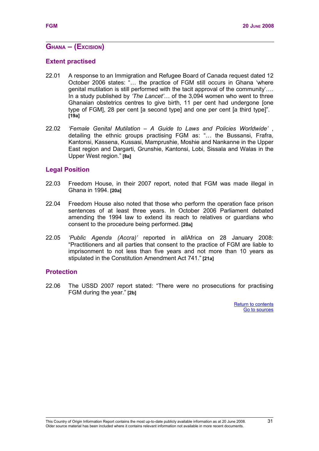# **GHANA – (EXCISION)**

### **Extent practised**

- 22.01 A response to an Immigration and Refugee Board of Canada request dated 12 October 2006 states: "… the practice of FGM still occurs in Ghana 'where genital mutilation is still performed with the tacit approval of the community'…. In a study published by *'The Lancet'*… of the 3,094 women who went to three Ghanaian obstetrics centres to give birth, 11 per cent had undergone [one type of FGM], 28 per cent [a second type] and one per cent [a third type]". **[19a]**
- 22.02 *'Female Genital Mutilation A Guide to Laws and Policies Worldwide'* , detailing the ethnic groups practising FGM as: "… the Bussansi, Frafra, Kantonsi, Kassena, Kussasi, Mamprushie, Moshie and Nankanne in the Upper East region and Dargarti, Grunshie, Kantonsi, Lobi, Sissala and Walas in the Upper West region." **[8a]**

#### **Legal Position**

- 22.03 Freedom House, in their 2007 report, noted that FGM was made illegal in Ghana in 1994. **[20a]**
- 22.04 Freedom House also noted that those who perform the operation face prison sentences of at least three years. In October 2006 Parliament debated amending the 1994 law to extend its reach to relatives or guardians who consent to the procedure being performed. **[20a]**
- 22.05 *'Public Agenda (Accra)'* reported in allAfrica on 28 January 2008: "Practitioners and all parties that consent to the practice of FGM are liable to imprisonment to not less than five years and not more than 10 years as stipulated in the Constitution Amendment Act 741." **[21a]**

#### **Protection**

<span id="page-38-1"></span><span id="page-38-0"></span>22.06 The USSD 2007 report stated: "There were no prosecutions for practising FGM during the year." **[2b]**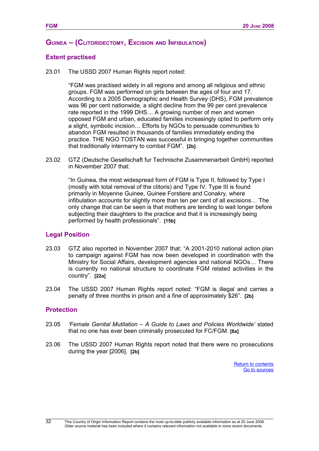### **GUINEA – (CLITORIDECTOMY, EXCISION AND INFIBULATION)**

#### **Extent practised**

23.01 The USSD 2007 Human Rights report noted:

"FGM was practised widely in all regions and among all religious and ethnic groups. FGM was performed on girls between the ages of four and 17. According to a 2005 Demographic and Health Survey (DHS), FGM prevalence was 96 per cent nationwide, a slight decline from the 99 per cent prevalence rate reported in the 1999 DHS… A growing number of men and women opposed FGM and urban, educated families increasingly opted to perform only a slight, symbolic incision… Efforts by NGOs to persuade communities to abandon FGM resulted in thousands of families immediately ending the practice. THE NGO TOSTAN was successful in bringing together communities that traditionally intermarry to combat FGM". **[2b]**

23.02 GTZ (Deutsche Gesellschaft fur Technische Zusammenarbeit GmbH) reported in November 2007 that:

"In Guinea, the most widespread form of FGM is Type II, followed by Type I (mostly with total removal of the clitoris) and Type IV. Type III is found primarily in Moyenne Guinee, Guinee Forstiere and Conakry, where infibulation accounts for slightly more than ten per cent of all excisions… The only change that can be seen is that mothers are tending to wait longer before subjecting their daughters to the practice and that it is increasingly being performed by health professionals". **[15b]**

#### **Legal Position**

- 23.03 GTZ also reported in November 2007 that: "A 2001-2010 national action plan to campaign against FGM has now been developed in coordination with the Ministry for Social Affairs, development agencies and national NGOs… There is currently no national structure to coordinate FGM related activities in the country". **[22a]**
- 23.04 The USSD 2007 Human Rights report noted: "FGM is illegal and carries a penalty of three months in prison and a fine of approximately \$26". **[2b]**

#### **Protection**

32

- 23.05 *'Female Genital Mutilation A Guide to Laws and Policies Worldwide'* stated that no one has ever been criminally prosecuted for FC/FGM. **[8a]**
- <span id="page-39-1"></span><span id="page-39-0"></span>23.06 The USSD 2007 Human Rights report noted that there were no prosecutions during the year [2006]. **[2b]**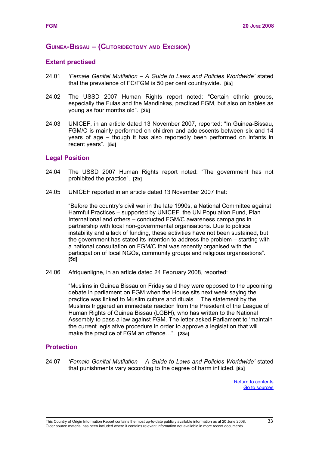#### **GUINEA-BISSAU – (CLITORIDECTOMY AMD EXCISION)**

#### **Extent practised**

- 24.01 *'Female Genital Mutilation A Guide to Laws and Policies Worldwide'* stated that the prevalence of FC/FGM is 50 per cent countrywide. **[8a]**
- 24.02 The USSD 2007 Human Rights report noted: "Certain ethnic groups, especially the Fulas and the Mandinkas, practiced FGM, but also on babies as young as four months old". **[2b]**
- 24.03 UNICEF, in an article dated 13 November 2007, reported: "In Guinea-Bissau, FGM/C is mainly performed on children and adolescents between six and 14 years of age – though it has also reportedly been performed on infants in recent years". **[5d]**

#### **Legal Position**

- 24.04 The USSD 2007 Human Rights report noted: "The government has not prohibited the practice". **[2b]**
- 24.05 UNICEF reported in an article dated 13 November 2007 that:

"Before the country's civil war in the late 1990s, a National Committee against Harmful Practices – supported by UNICEF, the UN Population Fund, Plan International and others – conducted FGM/C awareness campaigns in partnership with local non-governmental organisations. Due to political instability and a lack of funding, these activities have not been sustained, but the government has stated its intention to address the problem – starting with a national consultation on FGM/C that was recently organised with the participation of local NGOs, community groups and religious organisations". **[5d]**

24.06 Afriquenligne, in an article dated 24 February 2008, reported:

"Muslims in Guinea Bissau on Friday said they were opposed to the upcoming debate in parliament on FGM when the House sits next week saying the practice was linked to Muslim culture and rituals… The statement by the Muslims triggered an immediate reaction from the President of the League of Human Rights of Guinea Bissau (LGBH), who has written to the National Assembly to pass a law against FGM. The letter asked Parliament to 'maintain the current legislative procedure in order to approve a legislation that will make the practice of FGM an offence…". **[23a]**

#### **Protection**

24.07 *'Female Genital Mutilation – A Guide to Laws and Policies Worldwide'* stated that punishments vary according to the degree of harm inflicted. **[8a]** 

> <span id="page-40-1"></span><span id="page-40-0"></span>[Return to contents](#page-40-1) [Go to sources](#page-40-0)

Older source material has been included where it contains relevant information not available in more recent documents.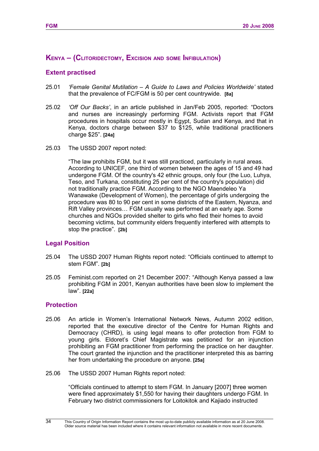# **KENYA – (CLITORIDECTOMY, EXCISION AND SOME INFIBULATION)**

# **Extent practised**

- 25.01 *'Female Genital Mutilation A Guide to Laws and Policies Worldwide'* stated that the prevalence of FC/FGM is 50 per cent countrywide. **[8a]**
- 25.02 *'Off Our Backs'*, in an article published in Jan/Feb 2005, reported: "Doctors and nurses are increasingly performing FGM. Activists report that FGM procedures in hospitals occur mostly in Egypt, Sudan and Kenya, and that in Kenya, doctors charge between \$37 to \$125, while traditional practitioners charge \$25". **[24a]**
- 25.03 The USSD 2007 report noted:

"The law prohibits FGM, but it was still practiced, particularly in rural areas. According to UNICEF, one third of women between the ages of 15 and 49 had undergone FGM. Of the country's 42 ethnic groups, only four (the Luo, Luhya, Teso, and Turkana, constituting 25 per cent of the country's population) did not traditionally practice FGM. According to the NGO Maendeleo Ya Wanawake (Development of Women), the percentage of girls undergoing the procedure was 80 to 90 per cent in some districts of the Eastern, Nyanza, and Rift Valley provinces… FGM usually was performed at an early age. Some churches and NGOs provided shelter to girls who fled their homes to avoid becoming victims, but community elders frequently interfered with attempts to stop the practice". **[2b]**

# **Legal Position**

- 25.04 The USSD 2007 Human Rights report noted: "Officials continued to attempt to stem FGM". **[2b]**
- 25.05 Feminist.com reported on 21 December 2007: "Although Kenya passed a law prohibiting FGM in 2001, Kenyan authorities have been slow to implement the law". **[22a]**

# **Protection**

34

- 25.06 An article in Women's International Network News, Autumn 2002 edition, reported that the executive director of the Centre for Human Rights and Democracy (CHRD), is using legal means to offer protection from FGM to young girls. Eldoret's Chief Magistrate was petitioned for an injunction prohibiting an FGM practitioner from performing the practice on her daughter. The court granted the injunction and the practitioner interpreted this as barring her from undertaking the procedure on anyone. **[25a]**
- 25.06 The USSD 2007 Human Rights report noted:

"Officials continued to attempt to stem FGM. In January [2007] three women were fined approximately \$1,550 for having their daughters undergo FGM. In February two district commissioners for Loitokitok and Kajiado instructed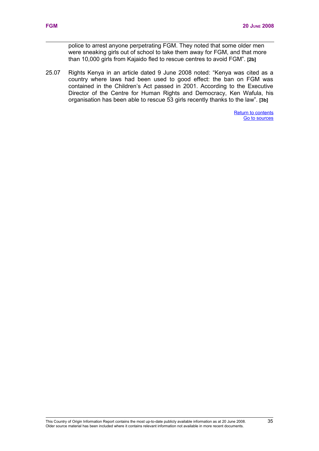<span id="page-42-1"></span><span id="page-42-0"></span>police to arrest anyone perpetrating FGM. They noted that some older men were sneaking girls out of school to take them away for FGM, and that more than 10,000 girls from Kajaido fled to rescue centres to avoid FGM". **[2b]** 

25.07 Rights Kenya in an article dated 9 June 2008 noted: "Kenya was cited as a country where laws had been used to good effect: the ban on FGM was contained in the Children's Act passed in 2001. According to the Executive Director of the Centre for Human Rights and Democracy, Ken Wafula, his organisation has been able to rescue 53 girls recently thanks to the law". **[3b]**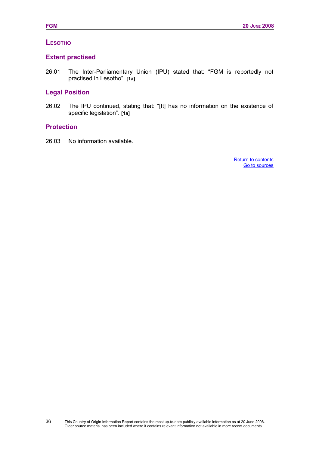# **LESOTHO**

### **Extent practised**

26.01 The Inter-Parliamentary Union (IPU) stated that: "FGM is reportedly not practised in Lesotho". **[1a]**

# **Legal Position**

26.02 The IPU continued, stating that: "[It] has no information on the existence of specific legislation". **[1a]**

### **Protection**

<span id="page-43-1"></span><span id="page-43-0"></span>26.03 No information available.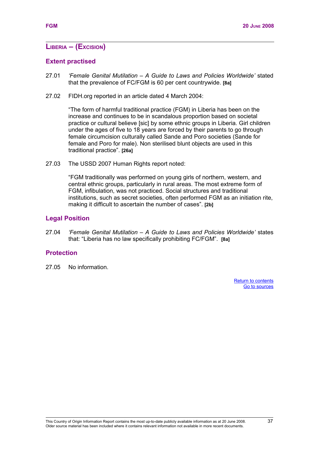# **LIBERIA – (EXCISION)**

#### **Extent practised**

- 27.01 *'Female Genital Mutilation A Guide to Laws and Policies Worldwide'* stated that the prevalence of FC/FGM is 60 per cent countrywide. **[8a]**
- 27.02 FIDH.org reported in an article dated 4 March 2004:

"The form of harmful traditional practice (FGM) in Liberia has been on the increase and continues to be in scandalous proportion based on societal practice or cultural believe [sic] by some ethnic groups in Liberia. Girl children under the ages of five to 18 years are forced by their parents to go through female circumcision culturally called Sande and Poro societies (Sande for female and Poro for male). Non sterilised blunt objects are used in this traditional practice". **[26a]**

27.03 The USSD 2007 Human Rights report noted:

"FGM traditionally was performed on young girls of northern, western, and central ethnic groups, particularly in rural areas. The most extreme form of FGM, infibulation, was not practiced. Social structures and traditional institutions, such as secret societies, often performed FGM as an initiation rite, making it difficult to ascertain the number of cases". **[2b]**

#### **Legal Position**

27.04 *'Female Genital Mutilation – A Guide to Laws and Policies Worldwide'* states that: "Liberia has no law specifically prohibiting FC/FGM". **[8a]**

#### **Protection**

<span id="page-44-1"></span><span id="page-44-0"></span>27.05 No information.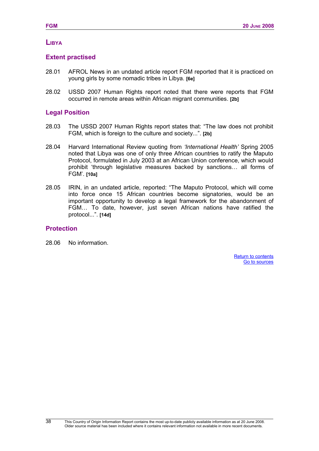# **LIBYA**

### **Extent practised**

- 28.01 AFROL News in an undated article report FGM reported that it is practiced on young girls by some nomadic tribes in Libya. **[6e]**
- 28.02 USSD 2007 Human Rights report noted that there were reports that FGM occurred in remote areas within African migrant communities. **[2b]**

# **Legal Position**

- 28.03 The USSD 2007 Human Rights report states that: "The law does not prohibit FGM, which is foreign to the culture and society...". **[2b]**
- 28.04 Harvard International Review quoting from *'International Health'* Spring 2005 noted that Libya was one of only three African countries to ratify the Maputo Protocol, formulated in July 2003 at an African Union conference, which would prohibit 'through legislative measures backed by sanctions… all forms of FGM'. **[10a]**
- 28.05 IRIN, in an undated article, reported: "The Maputo Protocol, which will come into force once 15 African countries become signatories, would be an important opportunity to develop a legal framework for the abandonment of FGM… To date, however, just seven African nations have ratified the protocol...". **[14d]**

### **Protection**

38

<span id="page-45-1"></span><span id="page-45-0"></span>28.06 No information.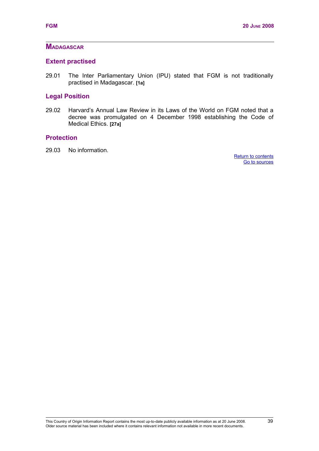# **MADAGASCAR**

### **Extent practised**

29.01 The Inter Parliamentary Union (IPU) stated that FGM is not traditionally practised in Madagascar. **[1a]**

# **Legal Position**

29.02 Harvard's Annual Law Review in its Laws of the World on FGM noted that a decree was promulgated on 4 December 1998 establishing the Code of Medical Ethics. **[27a]**

# **Protection**

<span id="page-46-1"></span><span id="page-46-0"></span>29.03 No information.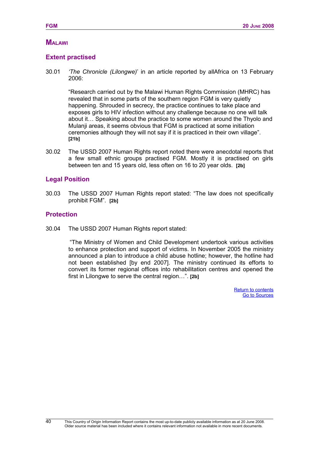# **MALAWI**

# **Extent practised**

30.01 *'The Chronicle (Lilongwe)*' in an article reported by allAfrica on 13 February 2006:

"Research carried out by the Malawi Human Rights Commission (MHRC) has revealed that in some parts of the southern region FGM is very quietly happening. Shrouded in secrecy, the practice continues to take place and exposes girls to HIV infection without any challenge because no one will talk about it… Speaking about the practice to some women around the Thyolo and Mulanji areas, it seems obvious that FGM is practiced at some initiation ceremonies although they will not say if it is practiced in their own village". **[21b]**

30.02 The USSD 2007 Human Rights report noted there were anecdotal reports that a few small ethnic groups practised FGM. Mostly it is practised on girls between ten and 15 years old, less often on 16 to 20 year olds. **[2b]**

#### **Legal Position**

30.03 The USSD 2007 Human Rights report stated: "The law does not specifically prohibit FGM". **[2b]**

### **Protection**

40

30.04 The USSD 2007 Human Rights report stated:

<span id="page-47-1"></span><span id="page-47-0"></span>"The Ministry of Women and Child Development undertook various activities to enhance protection and support of victims. In November 2005 the ministry announced a plan to introduce a child abuse hotline; however, the hotline had not been established [by end 2007]. The ministry continued its efforts to convert its former regional offices into rehabilitation centres and opened the first in Lilongwe to serve the central region…". **[2b]**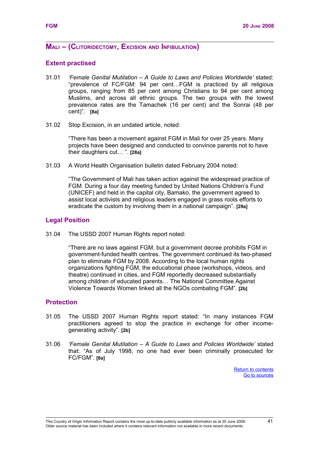### **MALI – (CLITORIDECTOMY, EXCISION AND INFIBULATION)**

#### **Extent practised**

- 31.01 *'Female Genital Mutilation A Guide to Laws and Policies Worldwide'* stated: "prevalence of FC/FGM: 94 per cent…FGM is practiced by all religious groups, ranging from 85 per cent among Christians to 94 per cent among Muslims, and across all ethnic groups. The two groups with the lowest prevalence rates are the Tamachek (16 per cent) and the Sonrai (48 per cent)". **[8a]**
- 31.02 Stop Excision, in an undated article, noted:

"There has been a movement against FGM in Mali for over 25 years. Many projects have been designed and conducted to convince parents not to have their daughters cut… ". **[28a]**

31.03 A World Health Organisation bulletin dated February 2004 noted:

"The Government of Mali has taken action against the widespread practice of FGM. During a four day meeting funded by United Nations Children's Fund (UNICEF) and held in the capital city, Bamako, the government agreed to assist local activists and religious leaders engaged in grass roots efforts to eradicate the custom by involving them in a national campaign". **[29a]**

#### **Legal Position**

31.04 The USSD 2007 Human Rights report noted:

"There are no laws against FGM, but a government decree prohibits FGM in government-funded health centres. The government continued its two-phased plan to eliminate FGM by 2008. According to the local human rights organizations fighting FGM, the educational phase (workshops, videos, and theatre) continued in cities, and FGM reportedly decreased substantially among children of educated parents… The National Committee Against Violence Towards Women linked all the NGOs combating FGM". **[2b]**

#### **Protection**

- 31.05 The USSD 2007 Human Rights report stated: "In many instances FGM practitioners agreed to stop the practice in exchange for other incomegenerating activity". **[2b]**
- <span id="page-48-1"></span><span id="page-48-0"></span>31.06 *'Female Genital Mutilation – A Guide to Laws and Policies Worldwide'* stated that: "As of July 1998, no one had ever been criminally prosecuted for FC/FGM". **[8a]**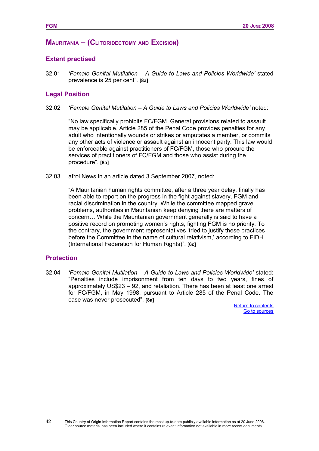# **MAURITANIA – (CLITORIDECTOMY AND EXCISION)**

#### **Extent practised**

32.01 *'Female Genital Mutilation – A Guide to Laws and Policies Worldwide'* stated prevalence is 25 per cent". **[8a]**

#### **Legal Position**

32.02 *'Female Genital Mutilation – A Guide to Laws and Policies Worldwide'* noted:

"No law specifically prohibits FC/FGM. General provisions related to assault may be applicable. Article 285 of the Penal Code provides penalties for any adult who intentionally wounds or strikes or amputates a member, or commits any other acts of violence or assault against an innocent party. This law would be enforceable against practitioners of FC/FGM, those who procure the services of practitioners of FC/FGM and those who assist during the procedure". **[8a]**

32.03 afrol News in an article dated 3 September 2007, noted:

"A Mauritanian human rights committee, after a three year delay, finally has been able to report on the progress in the fight against slavery, FGM and racial discrimination in the country. While the committee mapped grave problems, authorities in Mauritanian keep denying there are matters of concern… While the Mauritanian government generally is said to have a positive record on promoting women's rights, fighting FGM is no priority. To the contrary, the government representatives 'tried to justify these practices before the Committee in the name of cultural relativism,' according to FIDH (International Federation for Human Rights)". **[6c]**

#### **Protection**

42

<span id="page-49-1"></span><span id="page-49-0"></span>32.04 *'Female Genital Mutilation – A Guide to Laws and Policies Worldwide'* stated: "Penalties include imprisonment from ten days to two years, fines of approximately US\$23 – 92, and retaliation. There has been at least one arrest for FC/FGM, in May 1998, pursuant to Article 285 of the Penal Code. The case was never prosecuted". **[8a]**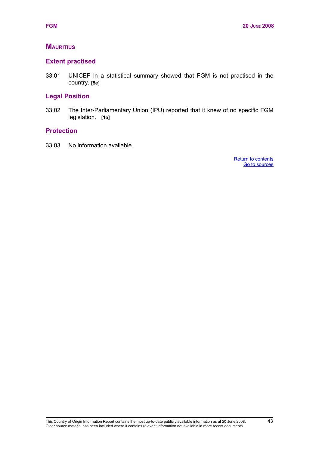# **MAURITIUS**

# **Extent practised**

33.01 UNICEF in a statistical summary showed that FGM is not practised in the country. **[5e]**

# **Legal Position**

33.02 The Inter-Parliamentary Union (IPU) reported that it knew of no specific FGM legislation. **[1a]**

### **Protection**

<span id="page-50-1"></span><span id="page-50-0"></span>33.03 No information available.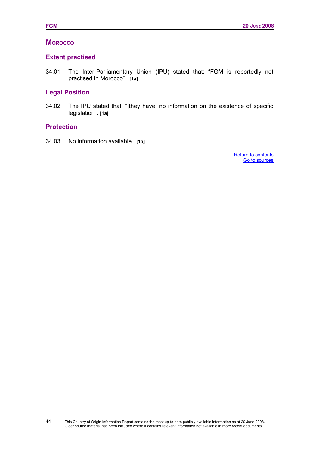# **MOROCCO**

### **Extent practised**

34.01 The Inter-Parliamentary Union (IPU) stated that: "FGM is reportedly not practised in Morocco". **[1a]**

# **Legal Position**

34.02 The IPU stated that: "[they have] no information on the existence of specific legislation". **[1a]**

# **Protection**

<span id="page-51-1"></span><span id="page-51-0"></span>34.03 No information available. **[1a]**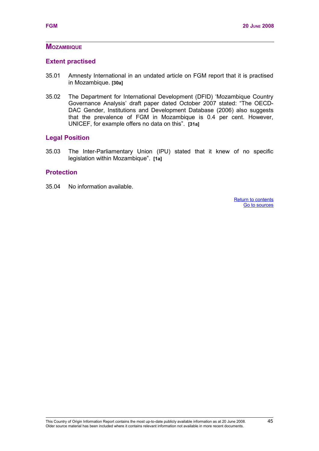## **MOZAMBIQUE**

# **Extent practised**

- 35.01 Amnesty International in an undated article on FGM report that it is practised in Mozambique. **[30a]**
- 35.02 The Department for International Development (DFID) 'Mozambique Country Governance Analysis' draft paper dated October 2007 stated: "The OECD-DAC Gender, Institutions and Development Database (2006) also suggests that the prevalence of FGM in Mozambique is 0.4 per cent. However, UNICEF, for example offers no data on this". **[31a]**

# **Legal Position**

35.03 The Inter-Parliamentary Union (IPU) stated that it knew of no specific legislation within Mozambique". **[1a]**

### **Protection**

<span id="page-52-1"></span><span id="page-52-0"></span>35.04 No information available.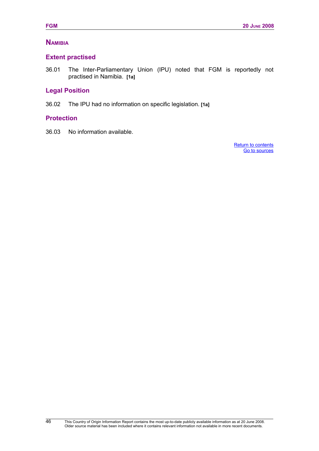# **NAMIBIA**

# **Extent practised**

36.01 The Inter-Parliamentary Union (IPU) noted that FGM is reportedly not practised in Namibia. **[1a]**

### **Legal Position**

36.02 The IPU had no information on specific legislation. **[1a]**

### **Protection**

<span id="page-53-1"></span><span id="page-53-0"></span>36.03 No information available.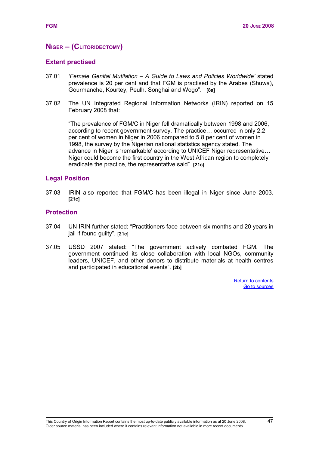# **NIGER – (CLITORIDECTOMY)**

#### **Extent practised**

- 37.01 *'Female Genital Mutilation A Guide to Laws and Policies Worldwide'* stated prevalence is 20 per cent and that FGM is practised by the Arabes (Shuwa), Gourmanche, Kourtey, Peulh, Songhai and Wogo". **[8a]**
- 37.02 The UN Integrated Regional Information Networks (IRIN) reported on 15 February 2008 that:

"The prevalence of FGM/C in Niger fell dramatically between 1998 and 2006, according to recent government survey. The practice… occurred in only 2.2 per cent of women in Niger in 2006 compared to 5.8 per cent of women in 1998, the survey by the Nigerian national statistics agency stated. The advance in Niger is 'remarkable' according to UNICEF Niger representative… Niger could become the first country in the West African region to completely eradicate the practice, the representative said". **[21c]**

#### **Legal Position**

37.03 IRIN also reported that FGM/C has been illegal in Niger since June 2003. **[21c]**

#### **Protection**

- 37.04 UN IRIN further stated: "Practitioners face between six months and 20 years in jail if found guilty". **[21c]**
- <span id="page-54-1"></span><span id="page-54-0"></span>37.05 USSD 2007 stated: "The government actively combated FGM. The government continued its close collaboration with local NGOs, community leaders, UNICEF, and other donors to distribute materials at health centres and participated in educational events". **[2b]**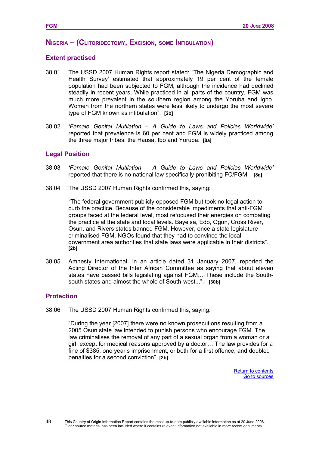# **NIGERIA – (CLITORIDECTOMY, EXCISION, SOME INFIBULATION)**

# **Extent practised**

- 38.01 The USSD 2007 Human Rights report stated: "The Nigeria Demographic and Health Survey' estimated that approximately 19 per cent of the female population had been subjected to FGM, although the incidence had declined steadily in recent years. While practiced in all parts of the country, FGM was much more prevalent in the southern region among the Yoruba and Igbo. Women from the northern states were less likely to undergo the most severe type of FGM known as infibulation". **[2b]**
- 38.02 *'Female Genital Mutilation A Guide to Laws and Policies Worldwide'* reported that prevalence is 60 per cent and FGM is widely practiced among the three major tribes: the Hausa, Ibo and Yoruba. **[8a]**

### **Legal Position**

- 38.03 *'Female Genital Mutilation A Guide to Laws and Policies Worldwide'* reported that there is no national law specifically prohibiting FC/FGM. **[8a]**
- 38.04 The USSD 2007 Human Rights confirmed this, saying:

"The federal government publicly opposed FGM but took no legal action to curb the practice. Because of the considerable impediments that anti-FGM groups faced at the federal level, most refocused their energies on combating the practice at the state and local levels. Bayelsa, Edo, Ogun, Cross River, Osun, and Rivers states banned FGM. However, once a state legislature criminalised FGM, NGOs found that they had to convince the local government area authorities that state laws were applicable in their districts". **[2b]**

38.05 Amnesty International, in an article dated 31 January 2007, reported the Acting Director of the Inter African Committee as saying that about eleven states have passed bills legislating against FGM… These include the Southsouth states and almost the whole of South-west...". **[30b]**

# **Protection**

38.06 The USSD 2007 Human Rights confirmed this, saying:

<span id="page-55-1"></span><span id="page-55-0"></span>"During the year [2007] there were no known prosecutions resulting from a 2005 Osun state law intended to punish persons who encourage FGM. The law criminalises the removal of any part of a sexual organ from a woman or a girl, except for medical reasons approved by a doctor… The law provides for a fine of \$385, one year's imprisonment, or both for a first offence, and doubled penalties for a second conviction". **[2b]**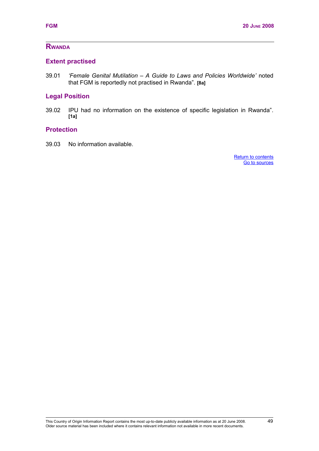# **Extent practised**

39.01 *'Female Genital Mutilation – A Guide to Laws and Policies Worldwide'* noted that FGM is reportedly not practised in Rwanda". **[8a]**

### **Legal Position**

39.02 IPU had no information on the existence of specific legislation in Rwanda". **[1a]**

## **Protection**

<span id="page-56-1"></span><span id="page-56-0"></span>39.03 No information available.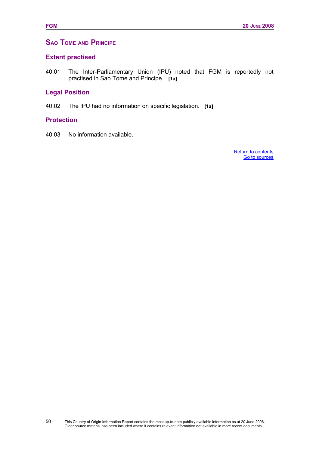# **SAO TOME AND PRINCIPE**

#### **Extent practised**

40.01 The Inter-Parliamentary Union (IPU) noted that FGM is reportedly not practised in Sao Tome and Principe. **[1a]**

# **Legal Position**

40.02 The IPU had no information on specific legislation. **[1a]**

#### **Protection**

40.03 No information available.

<span id="page-57-1"></span><span id="page-57-0"></span>[Return to contents](#page-57-1) [Go to sources](#page-57-0)

50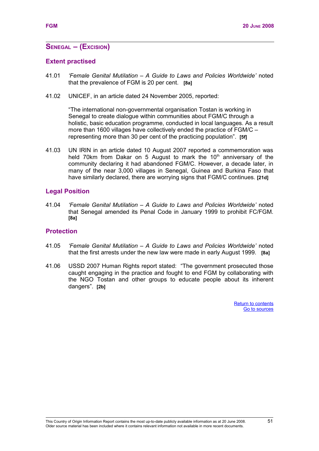# **SENEGAL – (EXCISION)**

#### **Extent practised**

- 41.01 *'Female Genital Mutilation A Guide to Laws and Policies Worldwide'* noted that the prevalence of FGM is 20 per cent. **[8a]**
- 41.02 UNICEF, in an article dated 24 November 2005, reported:

"The international non-governmental organisation Tostan is working in Senegal to create dialogue within communities about FGM/C through a holistic, basic education programme, conducted in local languages. As a result more than 1600 villages have collectively ended the practice of FGM/C – representing more than 30 per cent of the practicing population". **[5f]**

41.03 UN IRIN in an article dated 10 August 2007 reported a commemoration was held 70km from Dakar on 5 August to mark the  $10<sup>th</sup>$  anniversary of the community declaring it had abandoned FGM/C. However, a decade later, in many of the near 3,000 villages in Senegal, Guinea and Burkina Faso that have similarly declared, there are worrying signs that FGM/C continues. **[21d]**

#### **Legal Position**

41.04 *'Female Genital Mutilation – A Guide to Laws and Policies Worldwide'* noted that Senegal amended its Penal Code in January 1999 to prohibit FC/FGM. **[8a]**

### **Protection**

- 41.05 *'Female Genital Mutilation A Guide to Laws and Policies Worldwide'* noted that the first arrests under the new law were made in early August 1999. **[8a]**
- <span id="page-58-1"></span><span id="page-58-0"></span>41.06 USSD 2007 Human Rights report stated: "The government prosecuted those caught engaging in the practice and fought to end FGM by collaborating with the NGO Tostan and other groups to educate people about its inherent dangers". **[2b]**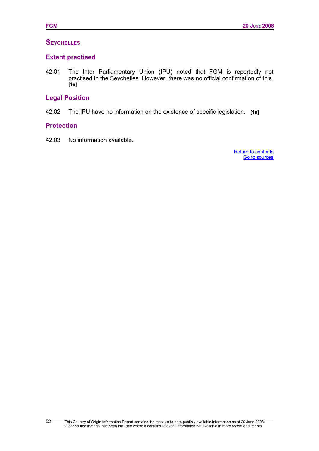# **SEYCHELLES**

### **Extent practised**

42.01 The Inter Parliamentary Union (IPU) noted that FGM is reportedly not practised in the Seychelles. However, there was no official confirmation of this. **[1a]**

### **Legal Position**

42.02 The IPU have no information on the existence of specific legislation. **[1a]**

### **Protection**

52

<span id="page-59-1"></span><span id="page-59-0"></span>42.03 No information available.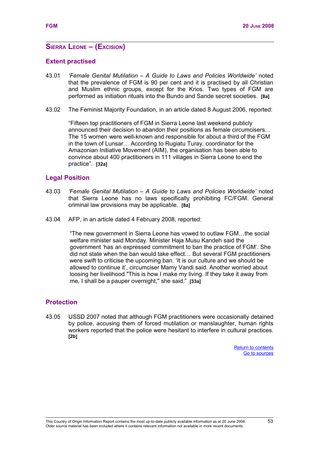### **SIERRA LEONE – (EXCISION)**

#### **Extent practised**

- 43.01 *'Female Genital Mutilation A Guide to Laws and Policies Worldwide'* noted that the prevalence of FGM is 90 per cent and it is practised by all Christian and Muslim ethnic groups, except for the Krios. Two types of FGM are performed as initiation rituals into the Bundo and Sande secret societies. **[8a]**
- 43.02 The Feminist Majority Foundation, in an article dated 8 August 2006, reported:

"Fifteen top practitioners of FGM in Sierra Leone last weekend publicly announced their decision to abandon their positions as female circumcisers… The 15 women were well-known and responsible for about a third of the FGM in the town of Lunsar… According to Rugiatu Turay, coordinator for the Amazonian Initiative Movement (AIM), the organisation has been able to convince about 400 practitioners in 111 villages in Sierra Leone to end the practice". **[32a]**

#### **Legal Position**

- 43.03 *'Female Genital Mutilation A Guide to Laws and Policies Worldwide'* noted that Sierra Leone has no laws specifically prohibiting FC/FGM. General criminal law provisions may be applicable. **[8a]**
- 43.04 AFP, in an article dated 4 February 2008, reported:

"The new government in Sierra Leone has vowed to outlaw FGM…the social welfare minister said Monday. Minister Haja Musu Kandeh said the government 'has an expressed commitment to ban the practice of FGM'. She did not state when the ban would take effect… But several FGM practitioners were swift to criticise the upcoming ban. 'It is our culture and we should be allowed to continue it', circumciser Mamy Vandi said. Another worried about loosing her livelihood "This is how I make my living. If they take it away from me, I shall be a pauper overnight," she said." **[33a]**

### **Protection**

<span id="page-60-1"></span><span id="page-60-0"></span>43.05 USSD 2007 noted that although FGM practitioners were occasionally detained by police, accusing them of forced mutilation or manslaughter, human rights workers reported that the police were hesitant to interfere in cultural practices. **[2b]**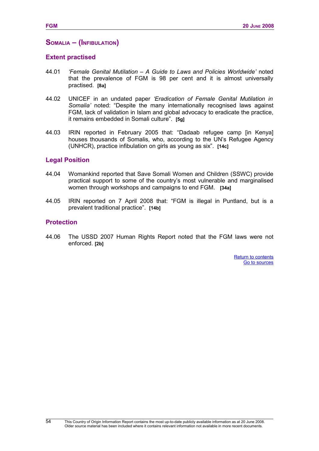#### **SOMALIA – (INFIBULATION)**

#### **Extent practised**

- 44.01 *'Female Genital Mutilation A Guide to Laws and Policies Worldwide'* noted that the prevalence of FGM is 98 per cent and it is almost universally practised. **[8a]**
- 44.02 UNICEF in an undated paper *'Eradication of Female Genital Mutilation in Somalia'* noted: "Despite the many internationally recognised laws against FGM, lack of validation in Islam and global advocacy to eradicate the practice, it remains embedded in Somali culture". **[5g]**
- 44.03 IRIN reported in February 2005 that: "Dadaab refugee camp [in Kenya] houses thousands of Somalis, who, according to the UN's Refugee Agency (UNHCR), practice infibulation on girls as young as six". **[14c]**

#### **Legal Position**

- 44.04 Womankind reported that Save Somali Women and Children (SSWC) provide practical support to some of the country's most vulnerable and marginalised women through workshops and campaigns to end FGM. **[34a]**
- 44.05 IRIN reported on 7 April 2008 that: "FGM is illegal in Puntland, but is a prevalent traditional practice". **[14b]**

#### **Protection**

54

<span id="page-61-1"></span><span id="page-61-0"></span>44.06 The USSD 2007 Human Rights Report noted that the FGM laws were not enforced. **[2b]**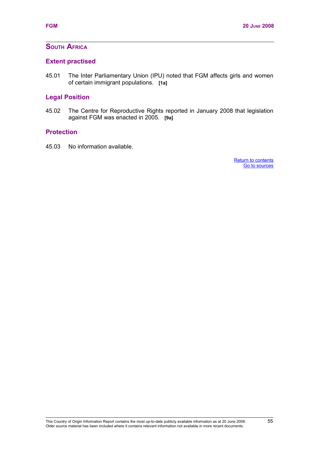# **SOUTH AFRICA**

#### **Extent practised**

45.01 The Inter Parliamentary Union (IPU) noted that FGM affects girls and women of certain immigrant populations. **[1a]**

# **Legal Position**

45.02 The Centre for Reproductive Rights reported in January 2008 that legislation against FGM was enacted in 2005. **[9a]** 

### **Protection**

<span id="page-62-1"></span><span id="page-62-0"></span>45.03 No information available.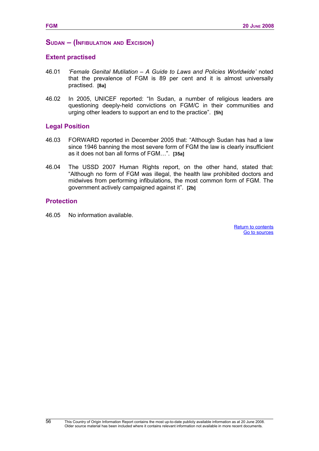#### **SUDAN – (INFIBULATION AND EXCISION)**

#### **Extent practised**

- 46.01 *'Female Genital Mutilation A Guide to Laws and Policies Worldwide'* noted that the prevalence of FGM is 89 per cent and it is almost universally practised. **[8a]**
- 46.02 In 2005, UNICEF reported: "In Sudan, a number of religious leaders are questioning deeply-held convictions on FGM/C in their communities and urging other leaders to support an end to the practice". **[5h]**

#### **Legal Position**

- 46.03 FORWARD reported in December 2005 that: "Although Sudan has had a law since 1946 banning the most severe form of FGM the law is clearly insufficient as it does not ban all forms of FGM…". **[35a]**
- 46.04 The USSD 2007 Human Rights report, on the other hand, stated that: "Although no form of FGM was illegal, the health law prohibited doctors and midwives from performing infibulations, the most common form of FGM. The government actively campaigned against it". **[2b]**

#### **Protection**

56

<span id="page-63-1"></span><span id="page-63-0"></span>46.05 No information available.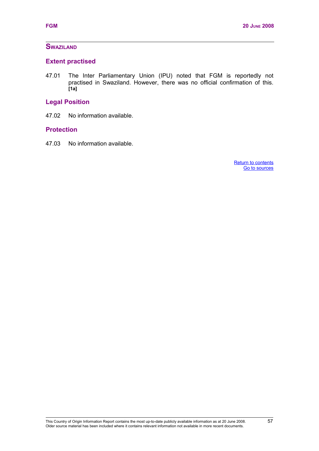# **SWAZILAND**

#### **Extent practised**

47.01 The Inter Parliamentary Union (IPU) noted that FGM is reportedly not practised in Swaziland. However, there was no official confirmation of this. **[1a]**

# **Legal Position**

47.02 No information available.

#### **Protection**

<span id="page-64-1"></span><span id="page-64-0"></span>47.03 No information available.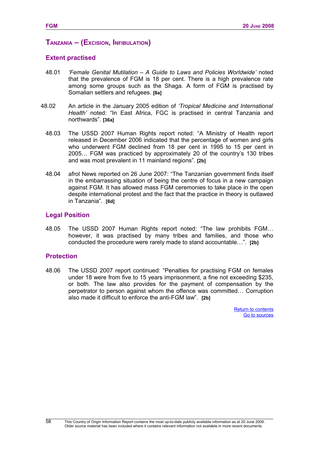# **TANZANIA – (EXCISION, INFIBULATION)**

# **Extent practised**

- 48.01 *'Female Genital Mutilation A Guide to Laws and Policies Worldwide'* noted that the prevalence of FGM is 18 per cent. There is a high prevalence rate among some groups such as the Shaga. A form of FGM is practised by Somalian settlers and refugees. **[8a]**
- 48.02 An article in the January 2005 edition of *'Tropical Medicine and International Health'* noted: "In East Africa, FGC is practised in central Tanzania and northwards". **[36a]**
	- 48.03 The USSD 2007 Human Rights report noted: "A Ministry of Health report released in December 2006 indicated that the percentage of women and girls who underwent FGM declined from 18 per cent in 1995 to 15 per cent in 2005… FGM was practiced by approximately 20 of the country's 130 tribes and was most prevalent in 11 mainland regions". **[2b]**
	- 48.04 afrol News reported on 26 June 2007: "The Tanzanian government finds itself in the embarrassing situation of being the centre of focus in a new campaign against FGM. It has allowed mass FGM ceremonies to take place in the open despite international protest and the fact that the practice in theory is outlawed in Tanzania". **[6d]**

# **Legal Position**

48.05 The USSD 2007 Human Rights report noted: "The law prohibits FGM… however, it was practised by many tribes and families, and those who conducted the procedure were rarely made to stand accountable…". **[2b]**

### **Protection**

58

<span id="page-65-1"></span><span id="page-65-0"></span>48.06 The USSD 2007 report continued: "Penalties for practising FGM on females under 18 were from five to 15 years imprisonment, a fine not exceeding \$235, or both. The law also provides for the payment of compensation by the perpetrator to person against whom the offence was committed… Corruption also made it difficult to enforce the anti-FGM law". **[2b]**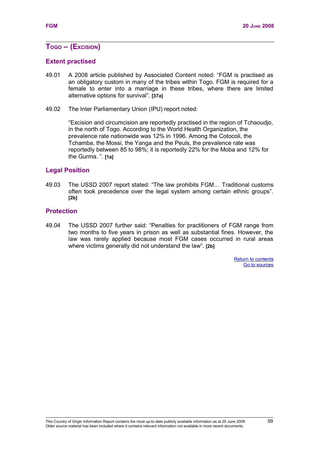# **TOGO – (EXCISION)**

### **Extent practised**

- 49.01 A 2008 article published by Associated Content noted: "FGM is practised as an obligatory custom in many of the tribes within Togo. FGM is required for a female to enter into a marriage in these tribes, where there are limited alternative options for survival". **[37a]**
- 49.02 The Inter Parliamentary Union (IPU) report noted:

"Excision and circumcision are reportedly practised in the region of Tchaoudjo, in the north of Togo. According to the World Health Organization, the prevalence rate nationwide was 12% in 1996. Among the Cotocoli, the Tchamba, the Mossi, the Yanga and the Peuls, the prevalence rate was reportedly between 85 to 98%; it is reportedly 22% for the Moba and 12% for the Gurma. ". **[1a]**

#### **Legal Position**

49.03 The USSD 2007 report stated: "The law prohibits FGM… Traditional customs often took precedence over the legal system among certain ethnic groups". **[2b]**

#### **Protection**

<span id="page-66-1"></span><span id="page-66-0"></span>49.04 The USSD 2007 further said: "Penalties for practitioners of FGM range from two months to five years in prison as well as substantial fines. However, the law was rarely applied because most FGM cases occurred in rural areas where victims generally did not understand the law". **[2b]**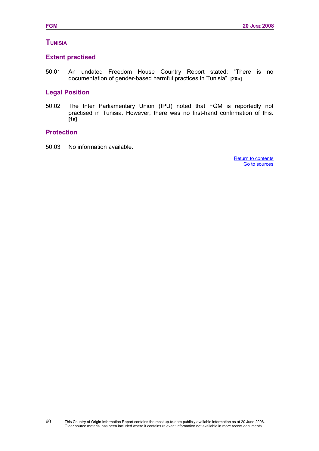# **TUNISIA**

### **Extent practised**

50.01 An undated Freedom House Country Report stated: "There is no documentation of gender-based harmful practices in Tunisia". **[20b]**

# **Legal Position**

50.02 The Inter Parliamentary Union (IPU) noted that FGM is reportedly not practised in Tunisia. However, there was no first-hand confirmation of this. **[1a]**

### **Protection**

<span id="page-67-1"></span><span id="page-67-0"></span>50.03 No information available.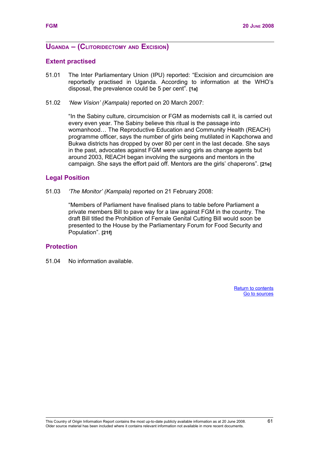# **UGANDA – (CLITORIDECTOMY AND EXCISION)**

#### **Extent practised**

- 51.01 The Inter Parliamentary Union (IPU) reported: "Excision and circumcision are reportedly practised in Uganda. According to information at the WHO's disposal, the prevalence could be 5 per cent". **[1a]**
- 51.02 *'New Vision' (Kampala)* reported on 20 March 2007:

"In the Sabiny culture, circumcision or FGM as modernists call it, is carried out every even year. The Sabiny believe this ritual is the passage into womanhood… The Reproductive Education and Community Health (REACH) programme officer, says the number of girls being mutilated in Kapchorwa and Bukwa districts has dropped by over 80 per cent in the last decade. She says in the past, advocates against FGM were using girls as change agents but around 2003, REACH began involving the surgeons and mentors in the campaign. She says the effort paid off. Mentors are the girls' chaperons". **[21e]**

#### **Legal Position**

51.03 *'The Monitor' (Kampala)* reported on 21 February 2008:

<span id="page-68-1"></span><span id="page-68-0"></span>"Members of Parliament have finalised plans to table before Parliament a private members Bill to pave way for a law against FGM in the country. The draft Bill titled the Prohibition of Female Genital Cutting Bill would soon be presented to the House by the Parliamentary Forum for Food Security and Population". **[21f]**

#### **Protection**

51.04 No information available.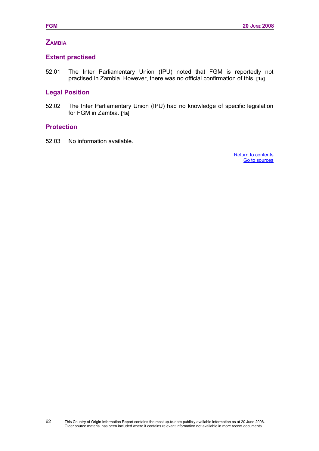# **ZAMBIA**

# **Extent practised**

52.01 The Inter Parliamentary Union (IPU) noted that FGM is reportedly not practised in Zambia. However, there was no official confirmation of this. **[1a]**

# **Legal Position**

52.02 The Inter Parliamentary Union (IPU) had no knowledge of specific legislation for FGM in Zambia. **[1a]**

### **Protection**

<span id="page-69-1"></span><span id="page-69-0"></span>52.03 No information available.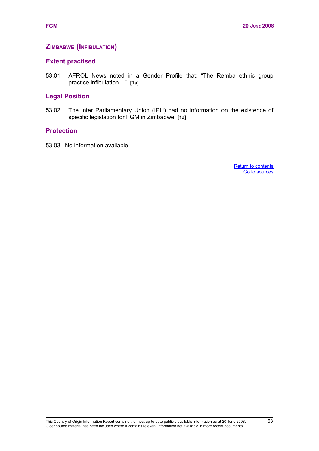# **ZIMBABWE (INFIBULATION)**

#### **Extent practised**

53.01 AFROL News noted in a Gender Profile that: "The Remba ethnic group practice infibulation…". **[1a]**

### **Legal Position**

53.02 The Inter Parliamentary Union (IPU) had no information on the existence of specific legislation for FGM in Zimbabwe. **[1a]**

#### **Protection**

<span id="page-70-1"></span><span id="page-70-0"></span>53.03 No information available.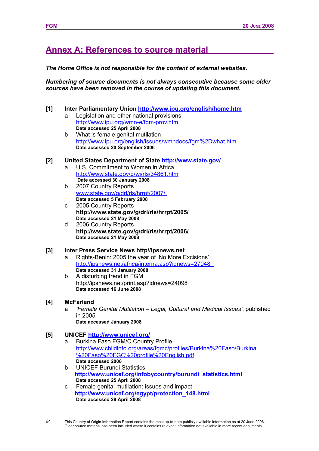# **Annex A: References to source material**

#### *The Home Office is not responsible for the content of external websites.*

*Numbering of source documents is not always consecutive because some older sources have been removed in the course of updating this document.* 

#### **[1] Inter Parliamentary Union<http://www.ipu.org/english/home.htm>**

- a Legislation and other national provisions <http://www.ipu.org/wmn-e/fgm-prov.htm> **Date accessed 25 April 2008**
- b What is female genital mutilation [http://www.ipu.org/english/issues/wmndocs/fgm%2Dwhat.htm](http://www.state.gov/g/drl/irf/2007/90086.htm) **Date accessed 20 September 2006**

#### **[2] United States Department of State<http://www.state.gov/>**

- a U.S. Commitment to Women in Africa [http://www.state.gov/g/wi/rls/34861.htm](http://www.fco.gov.uk/servlet/Front?pagename=OpenMarket/Xcelerate/ShowPage&c=Page&cid=1007029394365&a=KCountryProfile&)  **Date accessed 30 January 2008**
- b 2007 Country Reports  [www.state.gov/g/drl/rls/hrrpt/2007/](http://www.state.gov/g/drl/rls/hrrpt/2007/) **Date accessed 5 February 2008**
- c 2005 Country Reports **<http://www.state.gov/g/drl/rls/hrrpt/2005/> Date accessed 21 May 2008**
- d 2006 Country Reports **<http://www.state.gov/g/drl/rls/hrrpt/2006/> Date accessed 21 May 2008**

### **[3] Inter Press Service News [http//ipsnews.net](http://ipsnews.net/)**

- a Rights-Benin: 2005 the year of 'No More Excisions'  [http://ipsnews.net/africa/interna.asp?idnews=27048](http://www.fco.gov.uk/servlet/Front?pagename=OpenMarket/Xcelerate/ShowPage&c=Page&cid=1007029394365&a=KCountryProfile&)  **Date accessed 31 January 2008**
- b A disturbing trend in FGM <http://ipsnews.net/print.asp?idnews=24098> **Date accessed 16 June 2008**
- **[4] McFarland** 
	- a *'Female Genital Mutilation Legal, Cultural and Medical Issues'*; published in 2005

# **Date accessed January 2008**

### **[5] UNICEF<http://www.unicef.org/>**

- a Burkina Faso FGM/C Country Profile [http://www.childinfo.org/areas/fgmc/profiles/Burkina%20Faso/Burkina](http://www.childinfo.org/areas/fgmc/profiles/Burkina Faso/Burkina Faso FGC profile English.pdf) [%20Faso%20FGC%20profile%20English.pdf](http://www.childinfo.org/areas/fgmc/profiles/Burkina Faso/Burkina Faso FGC profile English.pdf) **Date accessed 2008**
- b UNICEF Burundi Statistics **[http://www.unicef.org/infobycountry/burundi\\_statistics.html](http://www.unicef.org/infobycountry/burundi_statistics.html) Date accessed 25 April 2008**
- c Female genital mutilation: issues and impact **[http://www.unicef.org/egypt/protection\\_148.html](http://www.unicef.org/egypt/protection_148.html) Date accessed 28 April 2008**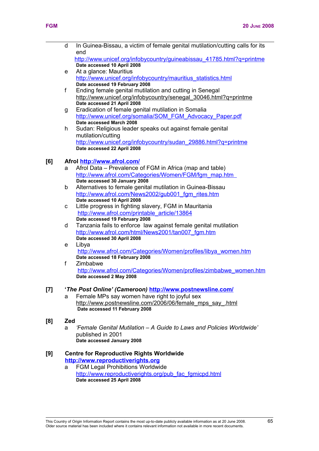**[8] Zed** 

|     | d                                               | In Guinea-Bissau, a victim of female genital mutilation/cutting calls for its<br>end |  |
|-----|-------------------------------------------------|--------------------------------------------------------------------------------------|--|
|     |                                                 | http://www.unicef.org/infobycountry/guineabissau 41785.html?q=printme                |  |
|     |                                                 | Date accessed 10 April 2008                                                          |  |
|     | e                                               | At a glance: Mauritius                                                               |  |
|     |                                                 | http://www.unicef.org/infobycountry/mauritius_statistics.html                        |  |
|     |                                                 | Date accessed 19 February 2008                                                       |  |
|     | f                                               | Ending female genital mutilation and cutting in Senegal                              |  |
|     |                                                 | http://www.unicef.org/infobycountry/senegal 30046.html?g=printme                     |  |
|     |                                                 | Date accessed 21 April 2008                                                          |  |
|     | g                                               | Eradication of female genital mutilation in Somalia                                  |  |
|     |                                                 | http://www.unicef.org/somalia/SOM FGM Advocacy Paper.pdf                             |  |
|     |                                                 | Date accessed March 2008                                                             |  |
|     | h                                               | Sudan: Religious leader speaks out against female genital                            |  |
|     |                                                 | mutilation/cutting                                                                   |  |
|     |                                                 | http://www.unicef.org/infobycountry/sudan_29886.html?q=printme                       |  |
|     |                                                 | Date accessed 22 April 2008                                                          |  |
|     |                                                 |                                                                                      |  |
| [6] |                                                 | Afrol http://www.afrol.com/                                                          |  |
|     | a                                               | Afrol Data – Prevalence of FGM in Africa (map and table)                             |  |
|     |                                                 | http://www.afrol.com/Categories/Women/FGM/fgm_map.htm_                               |  |
|     |                                                 | Date accessed 30 January 2008                                                        |  |
|     | b                                               | Alternatives to female genital mutilation in Guinea-Bissau                           |  |
|     |                                                 | http://www.afrol.com/News2002/gub001 fgm rites.htm                                   |  |
|     |                                                 | Date accessed 10 April 2008                                                          |  |
|     | C.                                              | Little progress in fighting slavery, FGM in Mauritania                               |  |
|     |                                                 | http://www.afrol.com/printable article/13864<br>Date accessed 19 February 2008       |  |
|     | d                                               | Tanzania fails to enforce law against female genital mutilation                      |  |
|     |                                                 | http://www.afrol.com/html/News2001/tan007 fgm.htm                                    |  |
|     |                                                 | Date accessed 30 April 2008                                                          |  |
|     | e                                               | Libya                                                                                |  |
|     |                                                 | http://www.afrol.com/Categories/Women/profiles/libya women.htm                       |  |
|     |                                                 | Date accessed 18 February 2008                                                       |  |
|     | f                                               | Zimbabwe                                                                             |  |
|     |                                                 | http://www.afrol.com/Categories/Women/profiles/zimbabwe_women.htm                    |  |
|     |                                                 | Date accessed 2 May 2008                                                             |  |
|     |                                                 |                                                                                      |  |
| [7] |                                                 | 'The Post Online' (Cameroon) http://www.postnewsline.com/                            |  |
|     | a                                               | Female MPs say women have right to joyful sex                                        |  |
|     |                                                 | http://www.postnewsline.com/2006/06/female mps say .html                             |  |
|     |                                                 | Date accessed 11 February 2008                                                       |  |
| [8] | Zed                                             |                                                                                      |  |
|     | a                                               | 'Female Genital Mutilation – A Guide to Laws and Policies Worldwide'                 |  |
|     |                                                 | published in 2001                                                                    |  |
|     |                                                 | Date accessed January 2008                                                           |  |
|     |                                                 |                                                                                      |  |
| [9] | <b>Centre for Reproductive Rights Worldwide</b> |                                                                                      |  |
|     |                                                 | http://www.reproductiverights.org                                                    |  |
|     | a                                               | <b>FGM Legal Prohibitions Worldwide</b>                                              |  |
|     |                                                 | http://www.reproductiverights.org/pub_fac_fgmicpd.html                               |  |

**Date accessed 25 April 2008**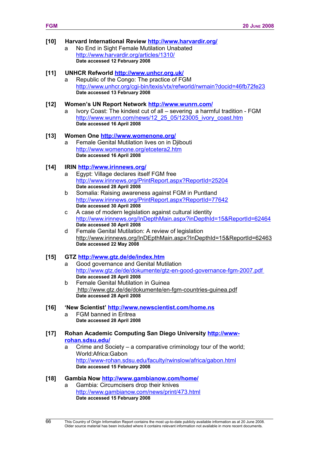#### **[10] Harvard International Review<http://www.harvardir.org/>** a No End in Sight Female Mutilation Unabated <http://www.harvardir.org/articles/1310/>

**Date accessed 12 February 2008**

# **[11] UNHCR Refworld<http://www.unhcr.org.uk/>**

Republic of the Congo: The practice of FGM <http://www.unhcr.org/cgi-bin/texis/vtx/refworld/rwmain?docid=46fb72fe23> **Date accessed 13 February 2008**

#### **[12] Women's UN Report Network<http://www.wunrn.com/>**

a Ivory Coast: The kindest cut of all – severing a harmful tradition - FGM [http://www.wunrn.com/news/12\\_25\\_05/123005\\_ivory\\_coast.htm](http://www.wunrn.com/news/12_25_05/123005_ivory_coast.htm) **Date accessed 16 April 2008**

#### **[13] Women One<http://www.womenone.org/>**

Female Genital Mutilation lives on in Djibouti <http://www.womenone.org/etcetera2.htm> **Date accessed 16 April 2008**

## **[14] IRIN<http://www.irinnews.org/>**

- Egypt: Village declares itself FGM free <http://www.irinnews.org/PrintReport.aspx?ReportId=25204> **Date accessed 28 April 2008**
- b Somalia: Raising awareness against FGM in Puntland <http://www.irinnews.org/PrintReport.aspx?ReportId=77642> **Date accessed 30 April 2008**
- c A case of modern legislation against cultural identity <http://www.irinnews.org/InDepthMain.aspx?inDepthId=15&ReportId=62464> **Date accessed 30 April 2008**
- d Female Genital Mutilation: A review of legislation <http://www.irinnews.org/InDEpthMain.aspx?InDepthId=15&ReportId=62463> **Date accessed 22 May 2008**

## **[15] GTZ<http://www.gtz.de/de/index.htm>**

- a Good governance and Genital Mutilation <http://www.gtz.de/de/dokumente/gtz-en-good-governance-fgm-2007.pdf> **Date accessed 28 April 2008**
- b Female Genital Mutilation in Guinea http://www.gtz.de/de/dokumente/en-fgm-countries-guinea.pdf **Date accessed 28 April 2008**

# **[16] 'New Scientist'<http://www.newscientist.com/home.ns>**

a FGM banned in Eritrea **Date accessed 28 April 2008**

#### **[17] Rohan Academic Computing San Diego University [http://www](http://www-rohan.sdsu.edu/)[rohan.sdsu.edu/](http://www-rohan.sdsu.edu/)**

a Crime and Society – a comparative criminology tour of the world; World:Africa:Gabon <http://www-rohan.sdsu.edu/faculty/rwinslow/africa/gabon.html> **Date accessed 15 February 2008**

## **[18] Gambia Now<http://www.gambianow.com/home/>**

a Gambia: Circumcisers drop their knives <http://www.gambianow.com/news/print/473.html> **Date accessed 15 February 2008**

66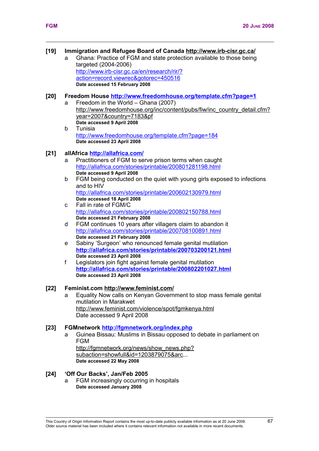## **[19] Immigration and Refugee Board of Canada http://www.irb-cisr.gc.ca/**

a Ghana: Practice of FGM and state protection available to those being targeted (2004-2006) [http://www.irb-cisr.gc.ca/en/research/rir/?](http://www.irb-cisr.gc.ca/en/research/rir/?action=record.viewrec&gotorec=450516)

[action=record.viewrec&gotorec=450516](http://www.irb-cisr.gc.ca/en/research/rir/?action=record.viewrec&gotorec=450516) **Date accessed 15 February 2008**

#### **[20] Freedom House<http://www.freedomhouse.org/template.cfm?page=1>**

- a Freedom in the World Ghana (2007) [http://www.freedomhouse.org/inc/content/pubs/fiw/inc\\_country\\_detail.cfm?](http://www.freedomhouse.org/inc/content/pubs/fiw/inc_country_detail.cfm?year=2007&country=7183&pf) [year=2007&country=7183&pf](http://www.freedomhouse.org/inc/content/pubs/fiw/inc_country_detail.cfm?year=2007&country=7183&pf) **Date accessed 9 April 2008**
- b Tunisia <http://www.freedomhouse.org/template.cfm?page=184> **Date accessed 23 April 2008**
- **[21] allAfrica<http://allafrica.com/>**
	- a Practitioners of FGM to serve prison terms when caught <http://allafrica.com/stories/printable/200801281198.html> **Date accessed 9 April 2008**
	- b FGM being conducted on the quiet with young girls exposed to infections and to HIV <http://allafrica.com/stories/printable/200602130979.html>
		- **Date accessed 18 April 2008**
	- c Fall in rate of FGM/C <http://allafrica.com/stories/printable/200802150788.html> **Date accessed 21 February 2008**
	- d FGM continues 10 years after villagers claim to abandon it <http://allafrica.com/stories/printable/200708100891.html> **Date accessed 21 February 2008**
	- e Sabiny 'Surgeon' who renounced female genital mutilation **<http://allafrica.com/stories/printable/200703200121.html> Date accessed 23 April 2008**
	- f Legislators join fight against female genital mutilation **<http://allafrica.com/stories/printable/200802201027.html> Date accessed 23 April 2008**

## **[22] Feminist.com<http://www.feminist.com/>**

a Equality Now calls on Kenyan Government to stop mass female genital mutilation in Marakwet <http://www.feminist.com/violence/spot/fgmkenya.html> Date accessed 9 April 2008

## **[23] FGMnetwork<http://fgmnetwork.org/index.php>**

a Guinea Bissau: Muslims in Bissau opposed to debate in parliament on FGM [http://fgmnetwork.org/news/show\\_news.php?](http://fgmnetwork.org/news/show_news.php?subaction=showfull&id=1203879075&arc)

[subaction=showfull&id=1203879075&arc.](http://fgmnetwork.org/news/show_news.php?subaction=showfull&id=1203879075&arc).. **Date accessed 22 May 2008**

## **[24] 'Off Our Backs', Jan/Feb 2005**

a FGM increasingly occurring in hospitals **Date accessed January 2008**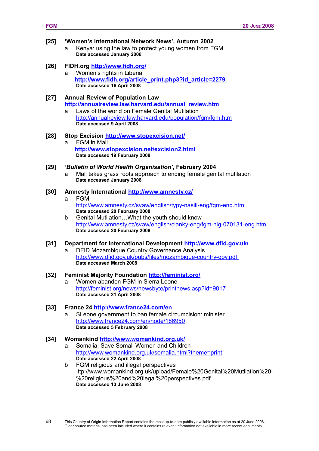| $[25]$ | 'Women's International Network News', Autumn 2002<br>Kenya: using the law to protect young women from FGM<br>a<br>Date accessed January 2008             |
|--------|----------------------------------------------------------------------------------------------------------------------------------------------------------|
| [26]   | FIDH.org http://www.fidh.org/<br>Women's rights in Liberia<br>a<br>http://www.fidh.org/article_print.php3?id_article=2279<br>Date accessed 16 April 2008 |
| [27]   | <b>Annual Review of Population Law</b><br>http://annualreview.law.harvard.edu/annual review.htm                                                          |

a Laws of the world on Female Genital Mutilation <http://annualreview.law.harvard.edu/population/fgm/fgm.htm> **Date accessed 9 April 2008**

# **[28] Stop Excision<http://www.stopexcision.net/>** a FGM in Mali

**<http://www.stopexcision.net/excision2.html> Date accessed 19 February 2008**

## **[29]** *'Bulletin of World Health Organisation'***, February 2004**

a Mali takes grass roots approach to ending female genital mutilation **Date accessed January 2008**

# **[30] Amnesty International<http://www.amnesty.cz/>**

- **FGM** <http://www.amnesty.cz/svaw/english/typy-nasili-eng/fgm-eng.htm> **Date accessed 20 February 2008**
- b Genital Mutilation…What the youth should know <http://www.amnesty.cz/svaw/english/clanky-eng/fgm-nig-070131-eng.htm> **Date accessed 20 February 2008**

## **[31] Department for International Development<http://www.dfid.gov.uk/>**

a DFID Mozambique Country Governance Analysis <http://www.dfid.gov.uk/pubs/files/mozambique-country-gov.pdf> **Date accessed March 2008**

## **[32] Feminist Majority Foundation<http://feminist.org/>**

a Women abandon FGM in Sierra Leone <http://feminist.org/news/newsbyte/printnews.asp?id=9817> **Date accessed 21 April 2008**

## **[33] France 24<http://www.france24.com/en>**

a SLeone government to ban female circumcision: minister <http://www.france24.com/en/node/186950> **Date accessed 5 February 2008**

## **[34] Womankind<http://www.womankind.org.uk/>**

- a Somalia: Save Somali Women and Children <http://www.womankind.org.uk/somalia.html?theme=print> **Date accessed 22 April 2008**
- b FGM religious and illegal perspectives ttp://www.womankind.org.uk/upload/Female%20Genital%20Mutilation%20- %20religious%20and%20legal%20perspectives.pdf **Date accessed 13 June 2008**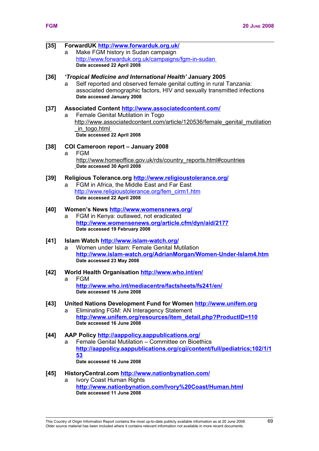# **[35] ForwardUK<http://www.forwarduk.org.uk/>**

Make FGM history in Sudan campaign http://www.forwarduk.org.uk/campaigns/fgm-in-sudan **Date accessed 22 April 2008**

#### **[36]** *'Tropical Medicine and International Health'* **January 2005**

Self reported and observed female genital cutting in rural Tanzania: associated demographic factors, HIV and sexually transmitted infections **Date accessed January 2008**

#### **[37] Associated Content<http://www.associatedcontent.com/>**

Female Genital Mutilation in Togo [http://www.associatedcontent.com/article/120536/female\\_genital\\_mutilation](http://www.associatedcontent.com/article/120536/female_genital_mutilation_in_togo.html)  [\\_in\\_togo.html](http://www.associatedcontent.com/article/120536/female_genital_mutilation_in_togo.html) **Date accessed 22 April 2008**

#### **[38] COI Cameroon report – January 2008**

a FGM [http://www.homeoffice.gov.uk/rds/country\\_reports.html#countries](http://www.homeoffice.gov.uk/rds/country_reports.html#countries) **Date accessed 30 April 2008**

#### **[39] Religious Tolerance.org<http://www.religioustolerance.org/>**

FGM in Africa, the Middle East and Far East [http://www.religioustolerance.org/fem\\_cirm1.htm](http://www.religioustolerance.org/fem_cirm1.htm) **Date accessed 22 April 2008**

# **[40] Women's News<http://www.womensnews.org/>**

a FGM in Kenya: outlawed, not eradicated **<http://www.womensenews.org/article.cfm/dyn/aid/2177> Date accessed 19 February 2008**

## **[41] Islam Watch<http://www.islam-watch.org/>**

a Women under Islam: Female Genital Mutilation **<http://www.islam-watch.org/AdrianMorgan/Women-Under-Islam4.htm> Date accessed 23 May 2008**

#### **[42] World Health Organisation<http://www.who.int/en/>**

a FGM **<http://www.who.int/mediacentre/factsheets/fs241/en/> Date accessed 16 June 2008**

#### **[43] United Nations Development Fund for Women [http://www.unifem.org](http://www.unifem.org/)**  a Eliminating FGM: AN Interagency Statement

**[http://www.unifem.org/resources/item\\_detail.php?ProductID=110](http://www.unifem.org/resources/item_detail.php?ProductID=110) Date accessed 16 June 2008** 

## **[44] AAP Policy<http://aappolicy.aappublications.org/>**

a Female Genital Mutilation – Committee on Bioethics **[http://aappolicy.aappublications.org/cgi/content/full/pediatrics;102/1/1](http://aappolicy.aappublications.org/cgi/content/full/pediatrics;102/1/153) [53](http://aappolicy.aappublications.org/cgi/content/full/pediatrics;102/1/153) Date accessed 16 June 2008** 

#### **[45] HistoryCentral.com<http://www.nationbynation.com/>** a Ivory Coast Human Rights

**[http://www.nationbynation.com/Ivory%20Coast/Human.html](http://www.nationbynation.com/Ivory Coast/Human.html) Date accessed 11 June 2008** 

This Country of Origin Information Report contains the most up-to-date publicly available information as at 20 June 2008. 69 Older source material has been included where it contains relevant information not available in more recent documents.